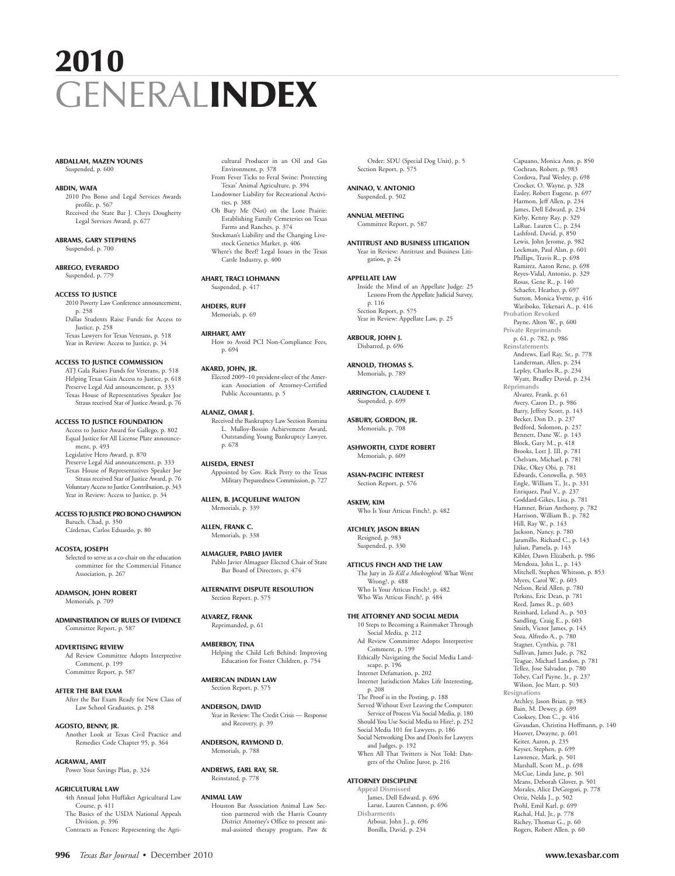#### **ABDALLAH, MAZEN YOUNES**

Suspended, p. 600

#### **ABDIN, WAFA**

2010 Pro Bono and Legal Services Awards profile, p. 567 Received the State Bar J. Chrys Dougherty Legal Services Award, p. 677

#### **ABRAMS, GARY STEPHENS** Suspended, p. 700

#### **ABREGO, EVERARDO**

Suspended, p. 779

#### **ACCESS TO JUSTICE**

2010 Poverty Law Conference announcement, p. 258 Dallas Students Raise Funds for Access to Justice, p. 258 Texas Lawyers for Texas Veterans, p. 518 Year in Review: Access to Justice, p. 34

#### **ACCESS TO JUSTICE COMMISSION**

ATJ Gala Raises Funds for Veterans, p. 518 Helping Texas Gain Access to Justice, p. 618 Preserve Legal Aid announcement, p. 333 Texas House of Representatives Speaker Joe Straus received Star of Justice Award, p. 76

#### **ACCESS TO JUSTICE FOUNDATION**

Access to Justice Award for Gallego, p. 802 Equal Justice for All License Plate announcement, p. 493 Legislative Hero Award, p. 870 Preserve Legal Aid announcement, p. 333 Texas House of Representatives Speaker Joe Straus received Star of Justice Award, p. 76 Voluntary Access to JusticeContribution, p. 343 Year in Review: Access to Justice, p. 34

#### **ACCESS TO JUSTICE PRO BONO CHAMPION** Baruch, Chad, p. 350 Cárdenas, Carlos Eduardo, p. 80

#### **ACOSTA, JOSEPH**

Selected to serve as a co-chair on the education committee for the Commercial Finance Association, p. 267

#### **ADAMSON, JOHN ROBERT** Memorials, p. 709

**ADMINISTRATION OF RULES OF EVIDENCE** Committee Report, p. 587

**ADVERTISING REVIEW** Ad Review Committee Adopts Interpretive Comment, p. 199 Committee Report, p. 587

#### **AFTER THE BAR EXAM** After the Bar Exam Ready for New Class of Law School Graduates, p. 258

#### **AGOSTO, BENNY, JR.**

Another Look at Texas Civil Practice and Remedies Code Chapter 95, p. 364

#### **AGRAWAL, AMIT**

Power Your Savings Plan, p. 324

#### **AGRICULTURAL LAW**

4th Annual John Huffaker Agricultural Law Course, p. 411 The Basics of the USDA National Appeals Division, p. 396 Contracts as Fences: Representing the Agri-

cultural Producer in an Oil and Gas Environment, p. 378 From Fever Ticks to Feral Swine: Protecting

- Texas' Animal Agriculture, p. 394 Landowner Liability for Recreational Activities, p. 388
- Oh Bury Me (Not) on the Lone Prairie: Establishing Family Cemeteries on Texas
- Farms and Ranches, p. 374 Stockman's Liability and the Changing Live-stock Genetics Market, p. 406
- Where's the Beef? Legal Issues in the Texas Cattle Industry, p. 400

#### **AHART, TRACI LOHMANN** Suspended, p. 417

**AHDERS, RUFF** Memorials, p. 69

**AIRHART, AMY** How to Avoid PCI Non-Compliance Fees, p. 694

#### **AKARD, JOHN, JR.**

Elected 2009–10 president-elect of the American Association of Attorney-Certified Public Accountants, p. 5

#### **ALANIZ, OMAR J.** Received the Bankruptcy Law Section Romina L. Mulloy-Bossio Achievement Award, Outstanding Young Bankruptcy Lawyer, p. 678

**ALISEDA, ERNEST** Appointed by Gov. Rick Perry to the Texas Military Preparedness Commission, p. 727

#### **ALLEN, B. JACQUELINE WALTON** Memorials, p. 339

**ALLEN, FRANK C.** Memorials, p. 338

**ALMAGUER, PABLO JAVIER** Pablo Javier Almaguer Elected Chair of State Bar Board of Directors, p. 474

**ALTERNATIVE DISPUTE RESOLUTION** Section Report, p. 575

**ALVAREZ, FRANK** Reprimanded, p. 61

#### **AMBERBOY, TINA** Helping the Child Left Behind: Improving Education for Foster Children, p. 754

**AMERICAN INDIAN LAW** Section Report, p. 575

**ANDERSON, DAVID** Year in Review: The Credit Crisis — Response and Recovery, p. 39

**ANDERSON, RAYMOND D.** Memorials, p. 788

#### **ANDREWS, EARL RAY, SR.** Reinstated, p. 778

#### **ANIMAL LAW**

Houston Bar Association Animal Law Section partnered with the Harris County District Attorney's Office to present animal-assisted therapy program, Paw &

Order: SDU (Special Dog Unit), p. 5 Section Report, p. 575

**ANINAO, V. ANTONIO** Suspended, p. 502

**ANNUAL MEETING** Committee Report, p. 587

**ANTITRUST AND BUSINESS LITIGATION** Year in Review: Antitrust and Business Litigation, p. 24

#### **APPELLATE LAW**

Inside the Mind of an Appellate Judge: 25 Lessons From the Appellate Judicial Survey, p. 116 Section Report, p. 575 Year in Review: Appellate Law, p. 25

**ARBOUR, JOHN J.** Disbarred, p. 696

**ARNOLD, THOMAS S.** Memorials, p. 789

**ARRINGTON, CLAUDENE T.** Suspended, p. 699

**ASBURY, GORDON, JR.** Memorials, p. 708

**ASHWORTH, CLYDE ROBERT** Memorials, p. 609

**ASIAN-PACIFIC INTEREST** Section Report, p. 576

**ASKEW, KIM** Who Is Your Atticus Finch?, p. 482

**ATCHLEY, JASON BRIAN** Resigned, p. 983 Suspended, p. 330

**ATTICUS FINCH AND THE LAW**

The Jury in *To Kill a Mockingbird*: What Went Wrong?, p. 488 Who Is Your Atticus Finch?, p. 482 Who Was Atticus Finch?, p. 484

#### **THE ATTORNEY AND SOCIAL MEDIA**

10 Steps to Becoming a Rainmaker Through Social Media, p. 212 Ad Review Committee Adopts Interpretive Comment, p. 199 Ethically Navigating the Social Media Landscape, p. 196 Internet Defamation, p. 202 Internet Jurisdiction Makes Life Interesting, p. 208 The Proof is in the Posting, p. 188 Served Without Ever Leaving the Computer: Service of Process Via Social Media, p. 180 Should You Use Social Media to Hire?, p. 252 Social Media 101 for Lawyers, p. 186 Social Networking Dos and Don'ts for Lawyers and Judges, p. 192 When All That Twitters is Not Told: Dan-

gers of the Online Juror, p. 216

#### **ATTORNEY DISCIPLINE**

**Appeal Dismissed** James, Dell Edward, p. 696 Larue, Lauren Cannon, p. 696 **Disbarments** Arbour, John J., p. 696 Bonilla, David, p. 234

Cochran, Robert, p. 983 Cordova, Paul Wesley, p. 698 Crocker, O. Wayne, p. 328 Easley, Robert Eugene, p. 697 Harmon, Jeff Allen, p. 234 James, Dell Edward, p. 234 Kirby, Kenny Ray, p. 329 LaRue, Lauren C., p. 234 Lashford, David, p. 850 Lewis, John Jerome, p. 982 Lockman, Paul Alan, p. 601 Phillips, Travis R., p. 698 Ramirez, Aaron Rene, p. 698 Reyes-Vidal, Antonio, p. 329 Rosas, Gene R., p. 140 Schaefer, Heather, p. 697 Sutton, Monica Yvette, p. 416 Wariboko, Tekenari A., p. 416 **Probation Revoked** Payne, Alton W., p. 600 **Private Reprimand** p. 61, p. 782, p. 986 **Reinstatements** Andrews, Earl Ray, Sr., p. 778 Landerman, Allen, p. 234 Lepley, Charles R., p. 234 Wyatt, Bradley David, p. 234 **Reprimands** Alvarez, Frank, p. 61 Avery, Caron D., p. 986 Barry, Jeffrey Scott, p. 143 Becker, Don D., p. 237 Bedford, Solomon, p. 237 Bennett, Dane W., p. 143 Block, Gary M., p. 418 Brooks, Lott J. III, p. 781 Chelvam, Michael, p. 781 Dike, Okey Obi, p. 781 Edwards, Conswella, p. 503 Engle, William T., Jr., p. 331 Enriquez, Paul V., p. 237 Goddard-Gikes, Lisa, p. 781 Hamner, Brian Anthony, p. 782 Harrison, William B., p. 782 Hill, Ray W., p. 143 Jackson, Nancy, p. 780 Jaramillo, Richard C., p. 143 Julian, Pamela, p. 143 Kibler, Dawn Elizabeth, p. 986 Mendoza, John L., p. 143 Mitchell, Stephen Whitson, p. 853 Myers, Carol W., p. 603 Nelson, Reid Allen, p. 780 Perkins, Eric Dean, p. 781 Reed, James R., p. 603 Reinhard, Leland A., p. 503 Sandling, Craig E., p. 603 Smith, Victor James, p. 143 Soza, Alfredo A., p. 780 Stagner, Cynthia, p. 781 Sullivan, James Jude, p. 782 Teague, Michael Landon, p. 781 Tellez, Jose Salvador, p. 780 Tobey, Carl Payne, Jr., p. 237 Wilson, Joe Marr, p. 503 **Resignations** Atchley, Jason Brian, p. 983 Bain, M. Dewey, p. 699 Cooksey, Don C., p. 416 Givaudan, Christina Hoffmann, p. 140 Hoover, Dwayne, p. 601

Capuano, Monica Ann, p. 850

Keiter, Aaron, p. 235 Keyser, Stephen, p. 699 Lawrence, Mark, p. 501 Marshall, Scott M., p. 698 McCue, Linda Jane, p. 501 Means, Deborah Glover, p. 501 Morales, Alice DeGregori, p. 778 Ortiz, Nelda J., p. 502 Prohl, Emil Karl, p. 699 Rachal, Hal, Jr., p. 778 Richey, Thomas G., p. 60 Rogers, Robert Allen, p. 60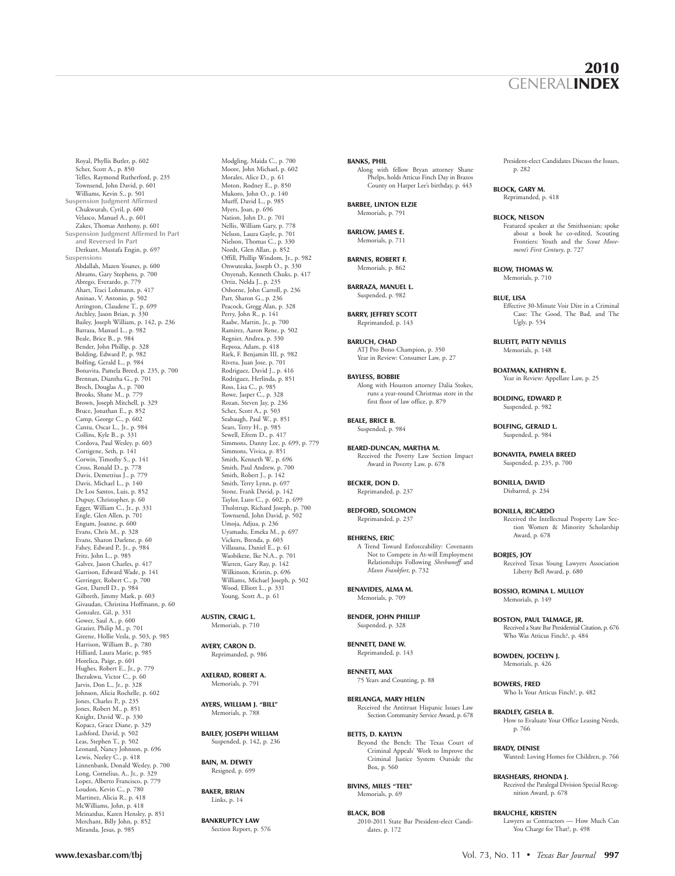Royal, Phyllis Butler, p. 602 Scher, Scott A., p. 850 Telles, Raymond Rutherford, p. 235 Townsend, John David, p. 601 Williams, Kevin S., p. 501 **Suspension Judgment Affirmed** Chukwurah, Cyril, p. 600 Velasco, Manuel A., p. 601 Zakes, Thomas Anthony, p. 601 **Suspension Judgment Affirmed In Part and Reversed In Part** Derkunt, Mustafa Engin, p. 697 **Suspensions** Abdallah, Mazen Younes, p. 600 Abrams, Gary Stephens, p. 700 Abrego, Everardo, p. 779 Ahart, Traci Lohmann, p. 417 Aninao, V. Antonio, p. 502 Arrington, Claudene T., p. 699 Atchley, Jason Brian, p. 330 Bailey, Joseph William, p. 142, p. 236 Barraza, Manuel L., p. 982 Beale, Brice B., p. 984 Bender, John Phillip, p. 328 Bolding, Edward P., p. 982 Bolfing, Gerald L., p. 984 Bonavita, Pamela Breed, p. 235, p. 700 Brennan, Diantha G., p. 701 Broch, Douglas A., p. 700 Brooks, Shane M., p. 779 Brown, Joseph Mitchell, p. 329 Bruce, Jonathan E., p. 852 Camp, George C., p. 602 Cantu, Oscar L., Jr., p. 984 Collins, Kyle B., p. 331 Cordova, Paul Wesley, p. 603 Cortigene, Seth, p. 141 Corwin, Timothy S., p. 141 Cross, Ronald D., p. 778 Davis, Demetrius J., p. 779 Davis, Michael L., p. 140 De Los Santos, Luis, p. 852 Dupuy, Christopher, p. 60 Egger, William C., Jr., p. 331 Engle, Glen Allen, p. 701 Engum, Joanne, p. 600 Evans, Chris M., p. 328 Evans, Sharon Darlene, p. 60 Fahey, Edward P., Jr., p. 984 Fritz, John L., p. 985 Galvez, Jason Charles, p. 417 Garrison, Edward Wade, p. 141 Gerringer, Robert C., p. 700 Gest, Darrell D., p. 984 Gilbreth, Jimmy Mark, p. 603 Givaudan, Christina Hoffmann, p. 60 Gonzalez, Gil, p. 331 Gower, Saul A., p. 600 Grazier, Philip M., p. 701 Greene, Hollie Vesla, p. 503, p. 985 Harrison, William B., p. 780 Hilliard, Laura Marie, p. 985 Horelica, Paige, p. 601 Hughes, Robert E., Jr., p. 779 Ihezukwu, Victor C., p. 60 Jarvis, Don L., Jr., p. 328 Johnson, Alicia Rochelle, p. 602 Jones, Charles P., p. 235 Jones, Robert M., p. 851 Knight, David W., p. 330 Kopacz, Grace Diane, p. 329 Lashford, David, p. 502 Leas, Stephen T., p. 502 Leonard, Nancy Johnson, p. 696 Lewis, Neeley C., p. 418 Linnenbank, Donald Wesley, p. 700 Long, Cornelius, A., Jr., p. 329 Lopez, Alberto Francisco, p. 779 Loudon, Kevin C., p. 780 Martinez, Alicia R., p. 418 McWilliams, John, p. 418 Meinardus, Karen Hensley, p. 851 Merchant, Billy John, p. 852 Miranda, Jesus, p. 985

Modgling, Maida C., p. 700 Moore, John Michael, p. 602 Morales, Alice D., p. 61 Moton, Rodney E., p. 850 Mukoro, John O., p. 140 Murff, David L., p. 985 Myers, Joan, p. 696 Nation, John D., p. 701 Nellis, William Gary, p. 778 Nelson, Laura Gayle, p. 701 Nielson, Thomas C., p. 330 Nordt, Glen Allan, p. 852 Offill, Phillip Windom, Jr., p. 982 Onwuteaka, Joseph O., p. 330 Onyenah, Kenneth Chuks, p. 417 Ortiz, Nelda J., p. 235 Osborne, John Carroll, p. 236 Parr, Sharon G., p. 236 Peacock, Gregg Alan, p. 328 Perry, John R., p. 141 Raabe, Martin, Jr., p. 700 Ramirez, Aaron Rene, p. 502 Regnier, Andrea, p. 330 Reposa, Adam, p. 418 Riek, F. Benjamin III, p. 982 Rivera, Juan Jose, p. 701 Rodriguez, David J., p. 416 Rodriguez, Herlinda, p. 851 Ross, Lisa C., p. 985 Rowe, Jasper C., p. 328 Rozan, Steven Jay, p. 236 Scher, Scott A., p. 503 Seabaugh, Paul W., p. 851 Sears, Terry H., p. 985 Sewell, Efrem D., p. 417 Simmons, Danny Lee, p. 699, p. 779 Simmons, Vivica, p. 851 Smith, Kenneth W., p. 696 Smith, Paul Andrew, p. 700 Smith, Robert J., p. 142 Smith, Terry Lynn, p. 697 Stone, Frank David, p. 142 Taylor, Luro C., p. 602, p. 699 Tholstrup, Richard Joseph, p. 700 Townsend, John David, p. 502 Umoja, Adjua, p. 236 Uyamadu, Emeka M., p. 697 Vickers, Brenda, p. 603 Villasana, Daniel E., p. 61 Waobikeze, Ike N.A., p. 701 Warren, Gary Ray, p. 142 Wilkinson, Kristin, p. 696 Williams, Michael Joseph, p. 502 Wood, Elliott L., p. 331 Young, Scott A., p. 61 **AUSTIN, CRAIG L.** Memorials, p. 710

**AVERY, CARON D.** Reprimanded, p. 986

**AXELRAD, ROBERT A.** Memorials, p. 791

**AYERS, WILLIAM J. "BILL"** Memorials, p. 788

**BAILEY, JOSEPH WILLIAM** Suspended, p. 142, p. 236

**BAIN, M. DEWEY** Resigned, p. 699

**BAKER, BRIAN** Links, p. 14

**BANKRUPTCY LAW** Section Report, p. 576 **BANKS, PHIL** Along with fellow Bryan attorney Shane Phelps, holds Atticus Finch Day in Brazos

County on Harper Lee's birthday, p. 443

**BARBEE, LINTON ELZIE** Memorials, p. 791

**BARLOW, JAMES E.** Memorials, p. 711

**BARNES, ROBERT F.** Memorials, p. 862

**BARRAZA, MANUEL L.** Suspended, p. 982 **BARRY, JEFFREY SCOTT**

Reprimanded, p. 143

**BARUCH, CHAD** ATJ Pro Bono Champion, p. 350 Year in Review: Consumer Law, p. 27

**BAYLESS, BOBBIE** Along with Houston attorney Dalia Stokes, runs a year-round Christmas store in the first floor of law office, p. 879

**BEALE, BRICE B.** Suspended, p. 984

**BEARD-DUNCAN, MARTHA M.** Received the Poverty Law Section Impact Award in Poverty Law, p. 678

**BECKER, DON D.** Reprimanded, p. 237

**BEDFORD, SOLOMON** Reprimanded, p. 237

**BEHRENS, ERIC** A Trend Toward Enforceability: Covenants Not to Compete in At-will Employment Relationships Following *Sheshunoff* and *Mann Frankfort*, p. 732

**BENAVIDES, ALMA M.** Memorials, p. 709

**BENDER, JOHN PHILLIP** Suspended, p. 328

**BENNETT, DANE W.** Reprimanded, p. 143

**BENNETT, MAX** 75 Years and Counting, p. 88

**BERLANGA, MARY HELEN** Received the Antitrust Hispanic Issues Law Section Community Service Award, p. 678

**BETTS, D. KAYLYN** Beyond the Bench: The Texas Court of Criminal Appeals' Work to Improve the Criminal Justice System Outside the Box, p. 560

**BIVINS, MILES "TEEL"** Memorials, p. 69

**BLACK, BOB** 2010-2011 State Bar President-elect Candidates, p. 172

President-elect Candidates Discuss the Issues, p. 282

**BLOCK, GARY M.** Reprimanded, p. 418

**BLOCK, NELSON** Featured speaker at the Smithsonian; spoke about a book he co-edited, Scouting Frontiers: Youth and the *Scout Movement's First Century*, p. 727

**BLOW, THOMAS W.** Memorials, p. 710

**BLUE, LISA** Effective 30-Minute Voir Dire in a Criminal Case: The Good, The Bad, and The Ugly, p. 534

**BLUEITT, PATTY NEVILLS** Memorials, p. 148

**BOATMAN, KATHRYN E.** Year in Review: Appellate Law, p. 25

**BOLDING, EDWARD P.** Suspended, p. 982

**BOLFING, GERALD L.** Suspended, p. 984

**BONAVITA, PAMELA BREED** Suspended, p. 235, p. 700

**BONILLA, DAVID** Disbarred, p. 234

**BONILLA, RICARDO** Received the Intellectual Property Law Section Women & Minority Scholarship Award, p. 678

**BORJES, JOY** Received Texas Young Lawyers Association Liberty Bell Award, p. 680

**BOSSIO, ROMINA L. MULLOY** Memorials, p. 149

**BOSTON, PAUL TALMAGE, JR.** Received a State Bar Presidential Citation, p. 676 Who Was Atticus Finch?, p. 484

**BOWDEN, JOCELYN J.** Memorials, p. 426

**BOWERS, FRED** Who Is Your Atticus Finch?, p. 482

**BRADLEY, GISELA B.** How to Evaluate Your Office Leasing Needs, p. 766

**BRADY, DENISE** Wanted: Loving Homes for Children, p. 766

**BRASHEARS, RHONDA J.** Received the Paralegal Division Special Recognition Award, p. 678

**BRAUCHLE, KRISTEN** Lawyers as Contractors — How Much Can You Charge for That?, p. 498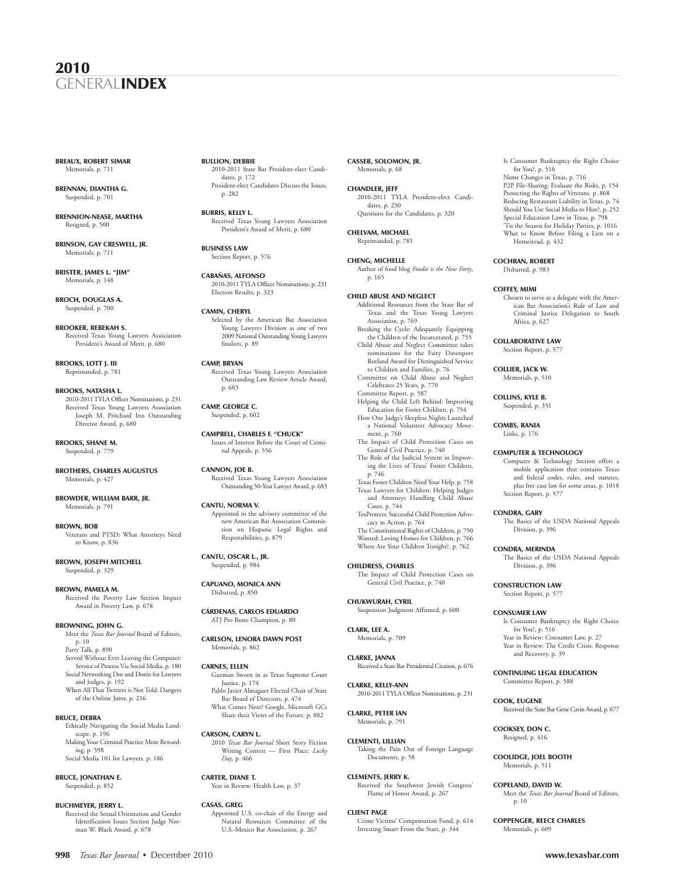**BREAUX, ROBERT SIMAR** Memorials, p. 711

**BRENNAN, DIANTHA G.** Suspended, p. 701

**BRENNION-NEASE, MARTHA** Resigned, p. 500

**BRINSON, GAY CRESWELL, JR.** Memorials, p. 711

**BRISTER, JAMES L. "JIM"** Memorials, p. 148

**BROCH, DOUGLAS A.** Suspended, p. 700

**BROOKER, REBEKAH S.** Received Texas Young Lawyers Association President's Award of Merit, p. 680

**BROOKS, LOTT J. III** Reprimanded, p. 781

#### **BROOKS, NATASHA L.**

2010-2011TYLA Officer Nominations, p. 231 Received Texas Young Lawyers Association Joseph M. Pritchard Inn Outstanding Director Award, p. 680

**BROOKS, SHANE M.** Suspended, p. 779

**BROTHERS, CHARLES AUGUSTUS** Memorials, p. 427

**BROWDER, WILLIAM BARR, JR.** Memorials, p. 791

**BROWN, BOB** Veterans and PTSD: What Attorneys Need to Know, p. 836

**BROWN, JOSEPH MITCHELL** Suspended, p. 329

**BROWN, PAMELA M.** Received the Poverty Law Section Impact Award in Poverty Law, p. 678

**BROWNING, JOHN G.**

Meet the *Texas Bar Journal* Board of Editors, p. 10 Party Talk, p. 890 Served Without Ever Leaving the Computer: Service of Process Via Social Media, p. 180

Social Networking Dos and Don'ts for Lawyers and Judges, p. 192 When All That Twitters is Not Told: Dangers of the Online Juror, p. 216

**BRUCE, DEBRA**

Ethically Navigating the Social Media Landscape, p. 196 Making Your Criminal Practice More Rewarding, p. 598 Social Media 101 for Lawyers, p. 186

**BRUCE, JONATHAN E.** Suspended, p. 852

#### **BUCHMEYER, JERRY L.**

Received the Sexual Orientation and Gender Identification Issues Section Judge Norman W. Black Award, p. 678

**BULLION, DEBBIE** 2010-2011 State Bar President-elect Candidates, p. 172 President-elect Candidates Discuss the Issues, p. 282

**BURRIS, KELLY L.** Received Texas Young Lawyers Association President's Award of Merit, p. 680

**BUSINESS LAW** Section Report, p. 576

**CABAÑAS, ALFONSO** 2010-2011TYLA Officer Nominations, p. 231 Election Results, p. 323

**CAMIN, CHERYL** Selected by the American Bar Association

Young Lawyers Division as one of two 2009 National Outstanding Young Lawyers finalists, p. 89

## **CAMP, BRYAN**

Received Texas Young Lawyers Association Outstanding Law Review Article Award, p. 683

**CAMP, GEORGE C.** Suspended, p. 602

**CAMPBELL, CHARLES F. "CHUCK"** Issues of Interest Before the Court of Criminal Appeals, p. 556

**CANNON, JOE B.** Received Texas Young Lawyers Association Outstanding 50-Year Lawyer Award, p. 683

**CANTU, NORMA V.**

Appointed to the advisory committee of the new American Bar Association Commission on Hispanic Legal Rights and Responsibilities, p. 879

**CANTU, OSCAR L., JR.** Suspended, p. 984

**CAPUANO, MONICA ANN** Disbarred, p. 850

**CÁRDENAS, CARLOS EDUARDO** ATJ Pro Bono Champion, p. 80

**CARLSON, LENORA DAWN POST** Memorials, p. 862

#### **CARNES, ELLEN**

Guzman Sworn in as Texas Supreme Court Justice, p. 174 Pablo Javier Almaguer Elected Chair of State Bar Board of Directors, p. 474 What Comes Next? Google, Microsoft GCs Share their Views of the Future, p. 882

#### **CARSON, CARYN L.**

2010 *Texas Bar Journal* Short Story Fiction Writing Contest — First Place: *Lucky Day*, p. 466

**CARTER, DIANE T.** Year in Review: Health Law, p. 37

#### **CASAS, GREG**

Appointed U.S. co-chair of the Energy and Natural Resources Committee of the U.S.-Mexico Bar Association, p. 267

#### **CASSEB, SOLOMON, JR.** Memorials, p. 68

**CHANDLER, JEFF** 2010-2011 TYLA President-elect Candidates, p. 230 Questions for the Candidates, p. 320

**CHELVAM, MICHAEL** Reprimanded, p. 781

**CHENG, MICHELLE** Author of food blog *Foodie is the New Forty*, p. 165

#### **CHILD ABUSE AND NEGLECT**

Additional Resources from the State Bar of Texas and the Texas Young Lawyers Association, p. 769

Breaking the Cycle: Adequately Equipping the Children of the Incarcerated, p. 755 Child Abuse and Neglect Committee takes nominations for the Fairy Davenport Rutland Award for Distinguished Service to Children and Families, p. 76

Committee on Child Abuse and Neglect Celebrates 25 Years, p. 770

Committee Report, p. 587 Helping the Child Left Behind: Improving Education for Foster Children, p. 754 How One Judge's Sleepless Nights Launched a National Volunteer Advocacy Move-

ment, p. 760 The Impact of Child Protection Cases on General Civil Practice, p. 740

The Role of the Judicial System in Improving the Lives of Texas' Foster Children, p. 746

Texas Foster Children Need Your Help, p. 758 Texas Lawyers for Children: Helping Judges and Attorneys Handling Child Abuse Cases, p. 744

TexProtects: Successful Child Protection Advocacy in Action, p. 764 The Constitutional Rights of Children, p. 750 Wanted: Loving Homes for Children, p. 766

Where Are Your Children Tonight?, p. 762

**CHILDRESS, CHARLES** The Impact of Child Protection Cases on General Civil Practice, p. 740

**CHUKWURAH, CYRIL** Suspension Judgment Affirmed, p. 600

**CLARK, LEE A.** Memorials, p. 709

**CLARKE, JANNA** Received a State Bar PresidentialCitation, p. 676

**CLARKE, KELLY-ANN** 2010-2011TYLA Officer Nominations, p. 231

**CLARKE, PETER IAN** Memorials, p. 791

**CLEMENTI, LILLIAN** Taking the Pain Out of Foreign Language Documents, p. 58

**CLEMENTS, JERRY K.** Received the Southwest Jewish Congress' Flame of Honor Award, p. 267

**CLIENT PAGE** Crime Victims' Compensation Fund, p. 614 Investing Smart From the Start, p. 344

**998** *Texas Bar Journal* • December 2010 **www.texasbar.com**

Is Consumer Bankruptcy the Right Choice for You?, p, 516 Name Changes in Texas, p. 716 P2P File-Sharing: Evaluate the Risks, p. 154 Protecting the Rights of Veterans, p. 868 Reducing Restaurant Liability in Texas, p. 74 Should You Use Social Media to Hire?, p. 252 Special Education Laws in Texas, p. 798 'Tis the Season for Holiday Parties, p. 1016 What to Know Before Filing a Lien on a Homestead, p. 432

**COCHRAN, ROBERT** Disbarred, p. 983

#### **COFFEY, MIMI**

Chosen to serve as a delegate with the American Bar Association's Rule of Law and Criminal Justice Delegation to South Africa, p. 627

#### **COLLABORATIVE LAW**

Section Report, p. 577

**COLLIER, JACK W.**

## Memorials, p. 510

**COLLINS, KYLE B.** Suspended, p. 331

**COMBS, RANIA** Links, p. 176

#### **COMPUTER & TECHNOLOGY**

Computer & Technology Section offers a mobile application that contains Texas and federal codes, rules, and statutes, plus free case law for some areas, p. 1018 Section Report, p. 577

#### **CONDRA, GARY**

The Basics of the USDA National Appeals Division, p. 396

#### **CONDRA, MERINDA**

The Basics of the USDA National Appeals Division, p. 396

#### **CONSTRUCTION LAW** Section Report, p. 577

#### **CONSUMER LAW**

Is Consumer Bankruptcy the Right Choice for You?, p. 516 Year in Review: Consumer Law, p. 27 Year in Review: The Credit Crisis: Response and Recovery, p. 39

**CONTINUING LEGAL EDUCATION** Committee Report, p. 588

**COOK, EUGENE** Received the State Bar Gene Cavin Award, p. 677

**COOKSEY, DON C.** Resigned, p. 416

**COOLIDGE, JOEL BOOTH** Memorials, p. 511

**COPELAND, DAVID W.** Meet the *Texas Bar Journal* Board of Editors, p. 10

**COPPENGER, REECE CHARLES** Memorials, p. 609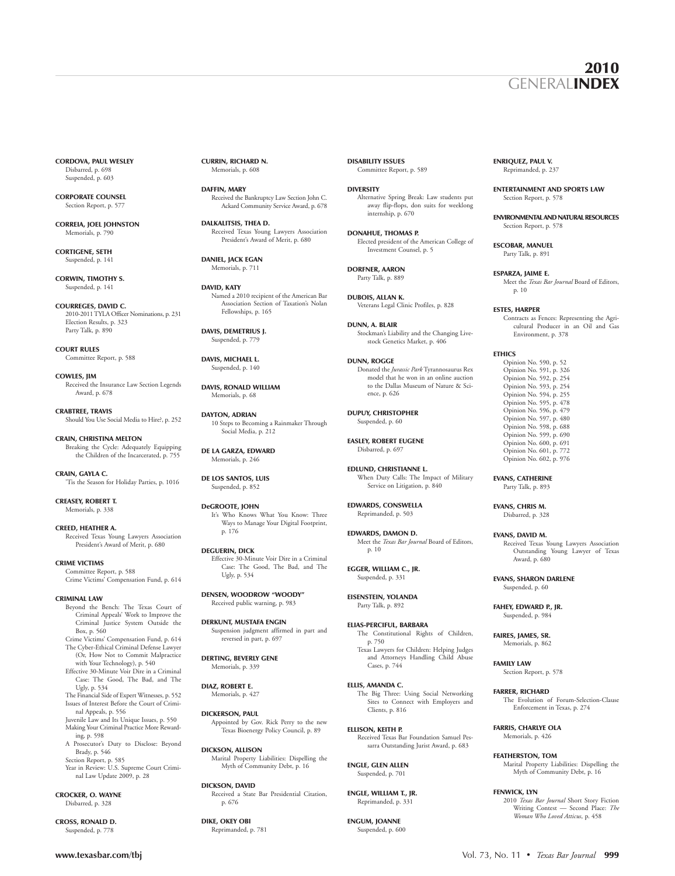**CORDOVA, PAUL WESLEY** Disbarred, p. 698 Suspended, p. 603

**CORPORATE COUNSEL** Section Report, p. 577

**CORREIA, JOEL JOHNSTON** Memorials, p. 790

**CORTIGENE, SETH** Suspended, p. 141

**CORWIN, TIMOTHY S.** Suspended, p. 141

**COURREGES, DAVID C.** 2010-2011TYLA Officer Nominations, p. 231 Election Results, p. 323 Party Talk, p. 890

**COURT RULES** Committee Report, p. 588

**COWLES, JIM** Received the Insurance Law Section Legends Award, p. 678

**CRABTREE, TRAVIS** Should You Use Social Media to Hire?, p. 252

**CRAIN, CHRISTINA MELTON** Breaking the Cycle: Adequately Equipping the Children of the Incarcerated, p. 755

**CRAIN, GAYLA C.** 'Tis the Season for Holiday Parties, p. 1016

**CREASEY, ROBERT T.** Memorials, p. 338

**CREED, HEATHER A.** Received Texas Young Lawyers Association President's Award of Merit, p. 680

**CRIME VICTIMS** Committee Report, p. 588 Crime Victims' Compensation Fund, p. 614

**CRIMINAL LAW** Beyond the Bench: The Texas Court of Criminal Appeals' Work to Improve the Criminal Justice System Outside the

Box, p. 560 Crime Victims' Compensation Fund, p. 614 The Cyber-Ethical Criminal Defense Lawyer

(Or, How Not to Commit Malpractice with Your Technology), p. 540 Effective 30-Minute Voir Dire in a Criminal Case: The Good, The Bad, and The

Ugly, p. 534 The Financial Side of Expert Witnesses, p. 552 Issues of Interest Before the Court of Crimi-

nal Appeals, p. 556 Juvenile Law and Its Unique Issues, p. 550 Making Your Criminal Practice More Reward-

ing, p. 598 A Prosecutor's Duty to Disclose: Beyond Brady, p. 546

Section Report, p. 585 Year in Review: U.S. Supreme Court Criminal Law Update 2009, p. 28

**CROCKER, O. WAYNE** Disbarred, p. 328

**CROSS, RONALD D.** Suspended, p. 778

**CURRIN, RICHARD N.** Memorials, p. 608

**DAFFIN, MARY** Received the Bankruptcy Law Section John C. Ackard Community Service Award, p. 678

**DALKALITSIS, THEA D.** Received Texas Young Lawyers Association President's Award of Merit, p. 680

**DANIEL, JACK EGAN** Memorials, p. 711

**DAVID, KATY** Named a 2010 recipient of the American Bar Association Section of Taxation's Nolan Fellowships, p. 165

**DAVIS, DEMETRIUS J.** Suspended, p. 779

**DAVIS, MICHAEL L.** Suspended, p. 140

**DAVIS, RONALD WILLIAM** Memorials, p. 68

**DAYTON, ADRIAN** 10 Steps to Becoming a Rainmaker Through Social Media, p. 212

**DE LA GARZA, EDWARD** Memorials, p. 246

**DE LOS SANTOS, LUIS** Suspended, p. 852

**DeGROOTE, JOHN** It's Who Knows What You Know: Three Ways to Manage Your Digital Footprint, p. 176

**DEGUERIN, DICK** Effective 30-Minute Voir Dire in a Criminal Case: The Good, The Bad, and The Ugly, p. 534

**DENSEN, WOODROW "WOODY"** Received public warning, p. 983

**DERKUNT, MUSTAFA ENGIN** Suspension judgment affirmed in part and reversed in part, p. 697

**DERTING, BEVERLY GENE** Memorials, p. 339

**DIAZ, ROBERT E.** Memorials, p. 427

**DICKERSON, PAUL** Appointed by Gov. Rick Perry to the new Texas Bioenergy Policy Council, p. 89

**DICKSON, ALLISON** Marital Property Liabilities: Dispelling the Myth of Community Debt, p. 16

**DICKSON, DAVID** Received a State Bar Presidential Citation, p. 676

**DIKE, OKEY OBI** Reprimanded, p. 781 **DISABILITY ISSUES** Committee Report, p. 589

**DIVERSITY** Alternative Spring Break: Law students put away flip-flops, don suits for weeklong internship, p. 670

**DONAHUE, THOMAS P.** Elected president of the American College of Investment Counsel, p. 5

**DORFNER, AARON** Party Talk, p. 889

**DUBOIS, ALLAN K.** Veterans Legal Clinic Profiles, p. 828

**DUNN, A. BLAIR** Stockman's Liability and the Changing Livestock Genetics Market, p. 406

**DUNN, ROGGE** Donated the *Jurassic Park* Tyrannosaurus Rex model that he won in an online auction to the Dallas Museum of Nature & Science, p. 626

**DUPUY, CHRISTOPHER** Suspended, p. 60

**EASLEY, ROBERT EUGENE** Disbarred, p. 697

**EDLUND, CHRISTIANNE L.** When Duty Calls: The Impact of Military Service on Litigation, p. 840

**EDWARDS, CONSWELLA** Reprimanded, p. 503

**EDWARDS, DAMON D.** Meet the *Texas Bar Journal* Board of Editors, p. 10

**EGGER, WILLIAM C., JR.** Suspended, p. 331

**EISENSTEIN, YOLANDA** Party Talk, p. 892

**ELIAS-PERCIFUL, BARBARA** The Constitutional Rights of Children, p. 750 Texas Lawyers for Children: Helping Judges and Attorneys Handling Child Abuse Cases, p. 744

**ELLIS, AMANDA C.** The Big Three: Using Social Networking Sites to Connect with Employers and Clients, p. 816

**ELLISON, KEITH P.** Received Texas Bar Foundation Samuel Pessarra Outstanding Jurist Award, p. 683

**ENGLE, GLEN ALLEN** Suspended, p. 701

**ENGLE, WILLIAM T., JR.** Reprimanded, p. 331

**ENGUM, JOANNE** Suspended, p. 600 **ENRIQUEZ, PAUL V.** Reprimanded, p. 237

**ENTERTAINMENT AND SPORTS LAW** Section Report, p. 578

**ENVIRONMENTAL AND NATURAL RESOURCES** Section Report, p. 578

**ESCOBAR, MANUEL** Party Talk, p. 891

**ESPARZA, JAIME E.** Meet the *Texas Bar Journal* Board of Editors, p. 10

**ESTES, HARPER** Contracts as Fences: Representing the Agricultural Producer in an Oil and Gas Environment, p. 378

**ETHICS** Opinion No. 590, p. 52 Opinion No. 591, p. 326 Opinion No. 592, p. 254 Opinion No. 593, p. 254 Opinion No. 594, p. 255 Opinion No. 595, p. 478 Opinion No. 596, p. 479 Opinion No. 597, p. 480 Opinion No. 598, p. 688 Opinion No. 599, p. 690 Opinion No. 600, p. 691 Opinion No. 601, p. 772 Opinion No. 602, p. 976

**EVANS, CATHERINE** Party Talk, p. 893

**EVANS, CHRIS M.** Disbarred, p. 328

**EVANS, DAVID M.** Received Texas Young Lawyers Association Outstanding Young Lawyer of Texas Award, p. 680

**EVANS, SHARON DARLENE** Suspended, p. 60

**FAHEY, EDWARD P., JR.** Suspended, p. 984

**FAIRES, JAMES, SR.** Memorials, p. 862

**FAMILY LAW** Section Report, p. 578

**FARRER, RICHARD** The Evolution of Forum-Selection-Clause Enforcement in Texas, p. 274

**FARRIS, CHARLYE OLA** Memorials, p. 426

**FEATHERSTON, TOM** Marital Property Liabilities: Dispelling the Myth of Community Debt, p. 16

**FENWICK, LYN** 2010 *Texas Bar Journal* Short Story Fiction Writing Contest — Second Place: *The Woman Who Loved Atticus*, p. 458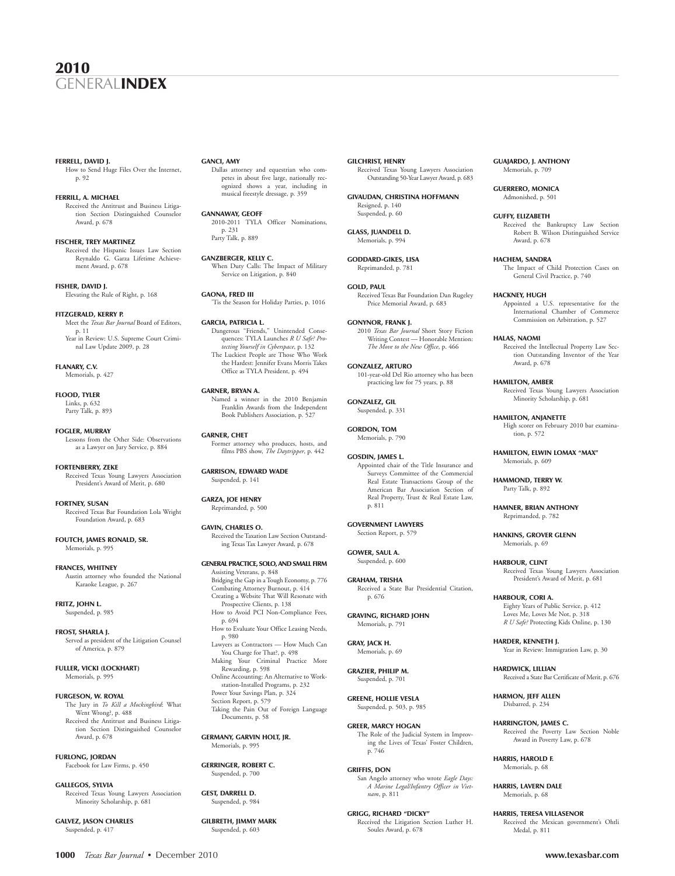#### **FERRELL, DAVID J.**

How to Send Huge Files Over the Internet, p. 92

**FERRILL, A. MICHAEL** Received the Antitrust and Business Litigation Section Distinguished Counselor Award, p. 678

**FISCHER, TREY MARTINEZ** Received the Hispanic Issues Law Section Reynaldo G. Garza Lifetime Achievement Award, p. 678

**FISHER, DAVID J.** Elevating the Rule of Right, p. 168

**FITZGERALD, KERRY P.** Meet the *Texas Bar Journal* Board of Editors, p. 11 Year in Review: U.S. Supreme Court Criminal Law Update 2009, p. 28

**FLANARY, C.V.** Memorials, p. 427

**FLOOD, TYLER** Links, p. 632 Party Talk, p. 893

**FOGLER, MURRAY** Lessons from the Other Side: Observations as a Lawyer on Jury Service, p. 884

**FORTENBERRY, ZEKE** Received Texas Young Lawyers Association President's Award of Merit, p. 680

**FORTNEY, SUSAN** Received Texas Bar Foundation Lola Wright Foundation Award, p. 683

**FOUTCH, JAMES RONALD, SR.** Memorials, p. 995

**FRANCES, WHITNEY** Austin attorney who founded the National Karaoke League, p. 267

**FRITZ, JOHN L.** Suspended, p. 985

**FROST, SHARLA J.** Served as president of the Litigation Counsel of America, p. 879

**FULLER, VICKI (LOCKHART)** Memorials, p. 995

**FURGESON, W. ROYAL** The Jury in *To Kill a Mockingbird*: What Went Wrong?, p. 488 Received the Antitrust and Business Litigation Section Distinguished Counselor Award, p. 678

**FURLONG, JORDAN** Facebook for Law Firms, p. 450

**GALLEGOS, SYLVIA** Received Texas Young Lawyers Association Minority Scholarship, p. 681

**GALVEZ, JASON CHARLES** Suspended, p. 417

**GANCI, AMY**

Dallas attorney and equestrian who competes in about five large, nationally recognized shows a year, including in musical freestyle dressage, p. 359

**GANNAWAY, GEOFF** 2010-2011 TYLA Officer Nominations, p. 231 Party Talk, p. 889

**GANZBERGER, KELLY C.** When Duty Calls: The Impact of Military Service on Litigation, p. 840

**GAONA, FRED III** 'Tis the Season for Holiday Parties, p. 1016

**GARCIA, PATRICIA L.** Dangerous "Friends," Unintended Consequences: TYLA Launches *R U Safe? Protecting Yourself in Cyberspace*, p. 132 The Luckiest People are Those Who Work the Hardest: Jennifer Evans Morris Takes Office as TYLA President, p. 494

#### **GARNER, BRYAN A.**

Named a winner in the 2010 Benjamin Franklin Awards from the Independent Book Publishers Association, p. 527

**GARNER, CHET** Former attorney who produces, hosts, and films PBS show, *The Daytripper*, p. 442

**GARRISON, EDWARD WADE** Suspended, p. 141

**GARZA, JOE HENRY** Reprimanded, p. 500

**GAVIN, CHARLES O.** Received the Taxation Law Section Outstanding Texas Tax Lawyer Award, p. 678

**GENERAL PRACTICE, SOLO, AND SMALL FIRM** Assisting Veterans, p. 848 Bridging the Gap in aTough Economy, p. 776 Combating Attorney Burnout, p. 414 Creating a Website That Will Resonate with Prospective Clients, p. 138 How to Avoid PCI Non-Compliance Fees, p. 694 How to Evaluate Your Office Leasing Needs, p. 980 Lawyers as Contractors — How Much Can You Charge for That?, p. 498 Making Your Criminal Practice More Rewarding, p. 598 Online Accounting: An Alternative to Work-

station-Installed Programs, p. 232 Power Your Savings Plan, p. 324 Section Report, p. 579 Taking the Pain Out of Foreign Language Documents, p. 58

**GERMANY, GARVIN HOLT, JR.** Memorials, p. 995

**GERRINGER, ROBERT C.** Suspended, p. 700

**GEST, DARRELL D.** Suspended, p. 984

**GILBRETH, JIMMY MARK** Suspended, p. 603

**GILCHRIST, HENRY** Received Texas Young Lawyers Association Outstanding 50-Year Lawyer Award, p. 683

**GIVAUDAN, CHRISTINA HOFFMANN** Resigned, p. 140 Suspended, p. 60

**GLASS, JUANDELL D.** Memorials, p. 994

**GODDARD-GIKES, LISA** Reprimanded, p. 781

**GOLD, PAUL** Received Texas Bar Foundation Dan Rugeley Price Memorial Award, p. 683

**GONYNOR, FRANK J.** 2010 *Texas Bar Journal* Short Story Fiction Writing Contest — Honorable Mention: *The Move to the New Office*, p. 466

**GONZALEZ, ARTURO** 101-year-old Del Rio attorney who has been practicing law for 75 years, p. 88

Suspended, p. 331 **GORDON, TOM** Memorials, p. 790

**GONZALEZ, GIL**

**GOSDIN, JAMES L.** Appointed chair of the Title Insurance and Surveys Committee of the Commercial Real Estate Transactions Group of the American Bar Association Section of Real Property, Trust & Real Estate Law, p. 811

**GOVERNMENT LAWYERS** Section Report, p. 579

**GOWER, SAUL A.** Suspended, p. 600

**GRAHAM, TRISHA** Received a State Bar Presidential Citation, p. 676

**GRAVING, RICHARD JOHN** Memorials, p. 791

**GRAY, JACK H.** Memorials, p. 69

**GRAZIER, PHILIP M.** Suspended, p. 701

**GREENE, HOLLIE VESLA** Suspended, p. 503, p. 985

**GREER, MARCY HOGAN** The Role of the Judicial System in Improving the Lives of Texas' Foster Children, p. 746

**GRIFFIS, DON** San Angelo attorney who wrote *Eagle Days: A Marine Legal/Infantry Officer in Vietnam*, p. 811

**GRIGG, RICHARD "DICKY"** Received the Litigation Section Luther H. Soules Award, p. 678

**GUAJARDO, J. ANTHONY** Memorials, p. 709

**GUERRERO, MONICA** Admonished, p. 501

**GUFFY, ELIZABETH**

Received the Bankruptcy Law Section Robert B. Wilson Distinguished Service Award, p. 678

**HACHEM, SANDRA**

The Impact of Child Protection Cases on General Civil Practice, p. 740

**HACKNEY, HUGH**

Appointed a U.S. representative for the International Chamber of Commerce Commission on Arbitration, p. 527

**HALAS, NAOMI**

Received the Intellectual Property Law Section Outstanding Inventor of the Year Award, p. 678

**HAMILTON, AMBER** Received Texas Young Lawyers Association Minority Scholarship, p. 681

**HAMILTON, ANJANETTE** High scorer on February 2010 bar examination, p. 572

**HAMILTON, ELWIN LOMAX "MAX"** Memorials, p. 609

**HAMMOND, TERRY W.** Party Talk, p. 892

**HAMNER, BRIAN ANTHONY** Reprimanded, p. 782

**HANKINS, GROVER GLENN** Memorials, p. 69

**HARBOUR, CLINT** Received Texas Young Lawyers Association President's Award of Merit, p. 681

**HARBOUR, CORI A.** Eighty Years of Public Service, p. 412 Loves Me, Loves Me Not, p. 318 *R U Safe?* Protecting Kids Online, p. 130

**HARDER, KENNETH J.** Year in Review: Immigration Law, p. 30

**HARDWICK, LILLIAN** Received a State Bar Certificate of Merit, p. 676

**HARMON, JEFF ALLEN** Disbarred, p. 234

**HARRINGTON, JAMES C.** Received the Poverty Law Section Noble Award in Poverty Law, p. 678

**HARRIS, HAROLD F.** Memorials, p. 68

**HARRIS, LAVERN DALE** Memorials, p. 68

**HARRIS, TERESA VILLASENOR** Received the Mexican government's Ohtli Medal, p. 811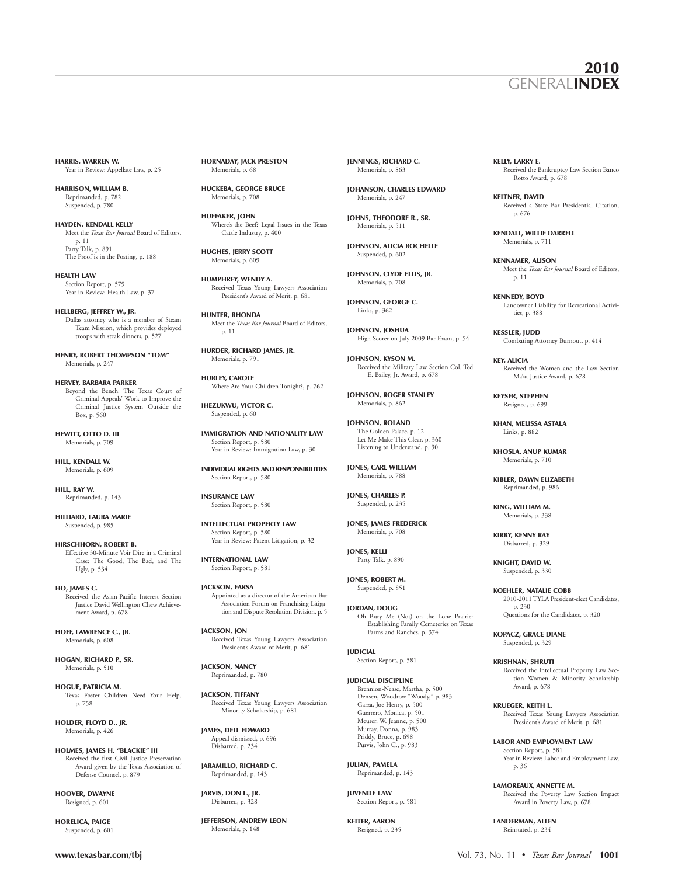**HARRIS, WARREN W.** Year in Review: Appellate Law, p. 25

**HARRISON, WILLIAM B.** Reprimanded, p. 782 Suspended, p. 780

**HAYDEN, KENDALL KELLY** Meet the *Texas Bar Journal* Board of Editors, p. 11 Party Talk, p. 891 The Proof is in the Posting, p. 188

**HEALTH LAW** Section Report, p. 579 Year in Review: Health Law, p. 37

**HELLBERG, JEFFREY W., JR.** Dallas attorney who is a member of Steam Team Mission, which provides deployed troops with steak dinners, p. 527

**HENRY, ROBERT THOMPSON "TOM"** Memorials, p. 247

**HERVEY, BARBARA PARKER** Beyond the Bench: The Texas Court of Criminal Appeals' Work to Improve the Criminal Justice System Outside the Box, p. 560

**HEWITT, OTTO D. III** Memorials, p. 709

**HILL, KENDALL W.** Memorials, p. 609

**HILL, RAY W.** Reprimanded, p. 143

**HILLIARD, LAURA MARIE** Suspended, p. 985

**HIRSCHHORN, ROBERT B.** Effective 30-Minute Voir Dire in a Criminal Case: The Good, The Bad, and The Ugly, p. 534

**HO, JAMES C.** Received the Asian-Pacific Interest Section Justice David Wellington Chew Achievement Award, p. 678

**HOFF, LAWRENCE C., JR.** Memorials, p. 608

**HOGAN, RICHARD P., SR.** Memorials, p. 510

**HOGUE, PATRICIA M.** Texas Foster Children Need Your Help, p. 758

**HOLDER, FLOYD D., JR.** Memorials, p. 426

**HOLMES, JAMES H. "BLACKIE" III** Received the first Civil Justice Preservation Award given by the Texas Association of Defense Counsel, p. 879

**HOOVER, DWAYNE** Resigned, p. 601

**HORELICA, PAIGE** Suspended, p. 601

**HORNADAY, JACK PRESTON** Memorials, p. 68

**HUCKEBA, GEORGE BRUCE** Memorials, p. 708

**HUFFAKER, JOHN** Where's the Beef? Legal Issues in the Texas Cattle Industry, p. 400

**HUGHES, JERRY SCOTT** Memorials, p. 609

**HUMPHREY, WENDY A.** Received Texas Young Lawyers Association President's Award of Merit, p. 681

**HUNTER, RHONDA** Meet the *Texas Bar Journal* Board of Editors, p. 11

**HURDER, RICHARD JAMES, JR.** Memorials, p. 791

**HURLEY, CAROLE** Where Are Your Children Tonight?, p. 762

**IHEZUKWU, VICTOR C.** Suspended, p. 60

**IMMIGRATION AND NATIONALITY LAW** Section Report, p. 580 Year in Review: Immigration Law, p. 30

**INDIVIDUAL RIGHTS AND RESPONSIBILITIES** Section Report, p. 580

**INSURANCE LAW** Section Report, p. 580

**INTELLECTUAL PROPERTY LAW** Section Report, p. 580 Year in Review: Patent Litigation, p. 32

**INTERNATIONAL LAW** Section Report, p. 581

**JACKSON, EARSA** Appointed as a director of the American Bar Association Forum on Franchising Litigation and Dispute Resolution Division, p. 5

**JACKSON, JON** Received Texas Young Lawyers Association President's Award of Merit, p. 681

**JACKSON, NANCY** Reprimanded, p. 780

**JACKSON, TIFFANY** Received Texas Young Lawyers Association Minority Scholarship, p. 681

**JAMES, DELL EDWARD** Appeal dismissed, p. 696 Disbarred, p. 234

**JARAMILLO, RICHARD C.** Reprimanded, p. 143

**JARVIS, DON L., JR.** Disbarred, p. 328

**JEFFERSON, ANDREW LEON** Memorials, p. 148

**JENNINGS, RICHARD C.** Memorials, p. 863

**JOHANSON, CHARLES EDWARD** Memorials, p. 247

**JOHNS, THEODORE R., SR.** Memorials, p. 511

**JOHNSON, ALICIA ROCHELLE** Suspended, p. 602

**JOHNSON, CLYDE ELLIS, JR.** Memorials, p. 708

**JOHNSON, GEORGE C.** Links, p. 362

**JOHNSON, JOSHUA** High Scorer on July 2009 Bar Exam, p. 54

**JOHNSON, KYSON M.** Received the Military Law Section Col. Ted E. Bailey, Jr. Award, p. 678

**JOHNSON, ROGER STANLEY** Memorials, p. 862

**JOHNSON, ROLAND** The Golden Palace, p. 12 Let Me Make This Clear, p. 360 Listening to Understand, p. 90

**JONES, CARL WILLIAM** Memorials, p. 788

**JONES, CHARLES P.** Suspended, p. 235

**JONES, JAMES FREDERICK** Memorials, p. 708

**JONES, KELLI** Party Talk, p. 890

**JONES, ROBERT M.** Suspended, p. 851

**JORDAN, DOUG** Oh Bury Me (Not) on the Lone Prairie: Establishing Family Cemeteries on Texas Farms and Ranches, p. 374

**JUDICIAL** Section Report, p. 581

**JUDICIAL DISCIPLINE** Brennion-Nease, Martha, p. 500 Densen, Woodrow "Woody," p. 983 Garza, Joe Henry, p. 500 Guerrero, Monica, p. 501 Meurer, W. Jeanne, p. 500 Murray, Donna, p. 983 Priddy, Bruce, p. 698 Purvis, John C., p. 983

**JULIAN, PAMELA** Reprimanded, p. 143

**JUVENILE LAW** Section Report, p. 581

**KEITER, AARON** Resigned, p. 235 **KELLY, LARRY E.** Received the Bankruptcy Law Section Banco Rotto Award, p. 678

**KELTNER, DAVID** Received a State Bar Presidential Citation, p. 676

**KENDALL, WILLIE DARRELL** Memorials, p. 711

**KENNAMER, ALISON** Meet the *Texas Bar Journal* Board of Editors, p. 11

**KENNEDY, BOYD** Landowner Liability for Recreational Activities, p. 388

**KESSLER, JUDD** Combating Attorney Burnout, p. 414

**KEY, ALICIA** Received the Women and the Law Section Ma'at Justice Award, p. 678

**KEYSER, STEPHEN** Resigned, p. 699

**KHAN, MELISSA ASTALA** Links, p. 882

**KHOSLA, ANUP KUMAR** Memorials, p. 710

**KIBLER, DAWN ELIZABETH** Reprimanded, p. 986

**KING, WILLIAM M.** Memorials, p. 338

**KIRBY, KENNY RAY** Disbarred, p. 329

**KNIGHT, DAVID W.** Suspended, p. 330

**KOEHLER, NATALIE COBB** 2010-2011 TYLA President-elect Candidates, p. 230 Questions for the Candidates, p. 320

**KOPACZ, GRACE DIANE** Suspended, p. 329

**KRISHNAN, SHRUTI** Received the Intellectual Property Law Section Women & Minority Scholarship Award, p. 678

**KRUEGER, KEITH L.** Received Texas Young Lawyers Association President's Award of Merit, p. 681

**LABOR AND EMPLOYMENT LAW** Section Report, p. 581 Year in Review: Labor and Employment Law, p. 36

**LAMOREAUX, ANNETTE M.** Received the Poverty Law Section Impact Award in Poverty Law, p. 678

**LANDERMAN, ALLEN** Reinstated, p. 234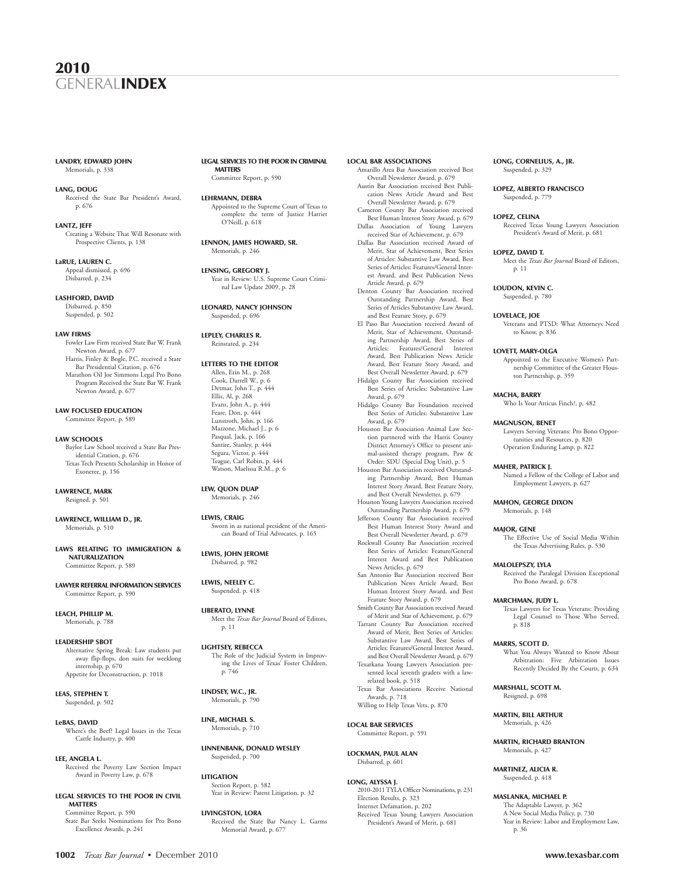#### **LANDRY, EDWARD JOHN** Memorials, p. 338

**LANG, DOUG** Received the State Bar President's Award, p. 676

**LANTZ, JEFF** Creating a Website That Will Resonate with Prospective Clients, p. 138

**LaRUE, LAUREN C.** Appeal dismissed, p. 696 Disbarred, p. 234

**LASHFORD, DAVID** Disbarred, p. 850 Suspended, p. 502

#### **LAW FIRMS**

Fowler Law Firm received State Bar W. Frank Newton Award, p. 677 Harris, Finley & Bogle, P.C. received a State Bar Presidential Citation, p. 676 Marathon Oil Joe Simmons Legal Pro Bono Program Received the State Bar W. Frank Newton Award, p. 677

#### **LAW FOCUSED EDUCATION** Committee Report, p. 589

#### **LAW SCHOOLS**

Baylor Law School received a State Bar Presidential Citation, p. 676 Texas Tech Presents Scholarship in Honor of Exoneree, p. 156

**LAWRENCE, MARK** Resigned, p. 501

**LAWRENCE, WILLIAM D., JR.** Memorials, p. 510

**LAWS RELATING TO IMMIGRATION & NATURALIZATION** Committee Report, p. 589

**LAWYER REFERRAL INFORMATION SERVICES** Committee Report, p. 590

**LEACH, PHILLIP M.** Memorials, p. 788

**LEADERSHIP SBOT** Alternative Spring Break: Law students put away flip-flops, don suits for weeklong internship, p. 670 Appetite for Deconstruction, p. 1018

**LEAS, STEPHEN T.** Suspended, p. 502

**LeBAS, DAVID** Where's the Beef? Legal Issues in the Texas Cattle Industry, p. 400

**LEE, ANGELA L.** Received the Poverty Law Section Impact Award in Poverty Law, p. 678

**LEGAL SERVICES TO THE POOR IN CIVIL MATTERS** Committee Report, p. 590 State Bar Seeks Nominations for Pro Bono Excellence Awards, p. 241

#### **LEGAL SERVICES TO THE POOR IN CRIMINAL MATTERS** Committee Report, p. 590

**LEHRMANN, DEBRA** Appointed to the Supreme Court of Texas to complete the term of Justice Harriet O'Neill, p. 618

**LENNON, JAMES HOWARD, SR.** Memorials, p. 246

**LENSING, GREGORY J.** Year in Review: U.S. Supreme Court Criminal Law Update 2009, p. 28

**LEONARD, NANCY JOHNSON** Suspended, p. 696

**LEPLEY, CHARLES R.** Reinstated, p. 234

#### **LETTERS TO THE EDITOR**

Allen, Erin M., p. 268 Cook, Darrell W., p. 6 Detmar, John T., p. 444 Ellis, Al, p. 268 Evans, John A., p. 444 Feare, Don, p. 444 Lunstroth, John, p. 166 Mazzone, Michael J., p. 6 Pasqual, Jack, p. 166 Santire, Stanley, p. 444 Segura, Victor, p. 444 Teague, Carl Robin, p. 444 Watson, Maelissa R.M., p. 6

#### **LEW, QUON DUAP**

Memorials, p. 246

#### **LEWIS, CRAIG**

Sworn in as national president of the American Board of Trial Advocates, p. 165

**LEWIS, JOHN JEROME** Disbarred, p. 982

**LEWIS, NEELEY C.** Suspended, p. 418

#### **LIBERATO, LYNNE** Meet the *Texas Bar Journal* Board of Editors, p. 11

**LIGHTSEY, REBECCA** The Role of the Judicial System in Improv-ing the Lives of Texas' Foster Children, p. 746

**LINDSEY, W.C., JR.** Memorials, p. 790

**LINE, MICHAEL S.** Memorials, p. 710

**LINNENBANK, DONALD WESLEY** Suspended, p. 700

**LITIGATION** Section Report, p. 582 Year in Review: Patent Litigation, p. 32

**LIVINGSTON, LORA** Received the State Bar Nancy L. Garms Memorial Award, p. 677

#### **LOCAL BAR ASSOCIATIONS**

Amarillo Area Bar Association received Best Overall Newsletter Award, p. 679 Austin Bar Association received Best Publication News Article Award and Best Overall Newsletter Award, p. 679 Cameron County Bar Association received Best Human Interest Story Award, p. 679 Dallas Association of Young Lawyers received Star of Achievement, p. 679 Dallas Bar Association received Award of Merit, Star of Achievement, Best Series of Articles: Substantive Law Award, Best Series of Articles: Features/General Interest Award, and Best Publication News Article Award, p. 679 Denton County Bar Association received Outstanding Partnership Award, Best Series of Articles Substantive Law Award,

and Best Feature Story, p. 679 El Paso Bar Association received Award of Merit, Star of Achievement, Outstanding Partnership Award, Best Series of Articles: Features/General Interest Award, Best Publication News Article Award, Best Feature Story Award, and Best Overall Newsletter Award, p. 679 Hidalgo County Bar Association received Best Series of Articles: Substantive Law

Award, p. 679 Hidalgo County Bar Foundation received Best Series of Articles: Substantive Law

Award, p. 679 Houston Bar Association Animal Law Section partnered with the Harris County District Attorney's Office to present animal-assisted therapy program, Paw & Order: SDU (Special Dog Unit), p. 5

Houston Bar Association received Outstanding Partnership Award, Best Human Interest Story Award, Best Feature Story, and Best Overall Newsletter, p. 679 Houston Young Lawyers Association received Outstanding Partnership Award, p. 679 Jefferson County Bar Association received Best Human Interest Story Award and Best Overall Newsletter Award, p. 679 Rockwall County Bar Association received Best Series of Articles: Feature/General Interest Award and Best Publication News Articles, p. 679 San Antonio Bar Association received Best Publication News Article Award, Best Human Interest Story Award, and Best

Feature Story Award, p. 679 Smith County Bar Association received Award of Merit and Star of Achievement, p. 679 Tarrant County Bar Association received Award of Merit, Best Series of Articles: Substantive Law Award, Best Series of Articles: Features/General Interest Award, and Best Overall Newsletter Award, p. 679 Texarkana Young Lawyers Association sented local seventh graders with a lawrelated book, p. 518 Texas Bar Associations Receive National Awards, p. 718 Willing to Help Texas Vets, p. 870

#### **LOCAL BAR SERVICES** Committee Report, p. 591

**LOCKMAN, PAUL ALAN** Disbarred, p. 601

**LONG, ALYSSA J.** 2010-2011TYLA Officer Nominations, p. 231 Election Results, p. 323 Internet Defamation, p. 202 Received Texas Young Lawyers Association President's Award of Merit, p. 681

**LONG, CORNELIUS, A., JR.** Suspended, p. 329

#### **LOPEZ, ALBERTO FRANCISCO** Suspended, p. 779

#### **LOPEZ, CELINA**

Received Texas Young Lawyers Association President's Award of Merit, p. 681

#### **LOPEZ, DAVID T.**

Meet the *Texas Bar Journal* Board of Editors, p. 11

#### **LOUDON, KEVIN C.**

Suspended, p. 780

#### **LOVELACE, JOE**

Veterans and PTSD: What Attorneys Need to Know, p. 836

#### **LOVETT, MARY-OLGA**

Appointed to the Executive Women's Partnership Committee of the Greater Houston Partnership, p. 359

#### **MACHA, BARRY**

Who Is Your Atticus Finch?, p. 482

#### **MAGNUSON, BENET**

Lawyers Serving Veterans: Pro Bono Oppor-tunities and Resources, p. 820 Operation Enduring Lamp, p. 822

#### **MAHER, PATRICK J.**

Named a Fellow of the College of Labor and Employment Lawyers, p. 627

#### **MAHON, GEORGE DIXON**

Memorials, p. 148

#### **MAJOR, GENE**

The Effective Use of Social Media Within the Texas Advertising Rules, p. 530

#### **MALOLEPSZY, LYLA**

Received the Paralegal Division Exceptional Pro Bono Award, p. 678

#### **MARCHMAN, JUDY L.**

Texas Lawyers for Texas Veterans: Providing Legal Counsel to Those Who Served, p. 818

#### **MARRS, SCOTT D.**

What You Always Wanted to Know About Arbitration: Five Arbitration Issues Recently Decided By the Courts, p. 634

#### **MARSHALL, SCOTT M.**

Resigned, p. 698

**MARTIN, BILL ARTHUR** Memorials, p. 426

#### **MARTIN, RICHARD BRANTON** Memorials, p. 427

#### **MARTINEZ, ALICIA R.** Suspended, p. 418

**MASLANKA, MICHAEL P.**

#### The Adaptable Lawyer, p. 362 A New Social Media Policy, p. 730 Year in Review: Labor and Employment Law, p. 36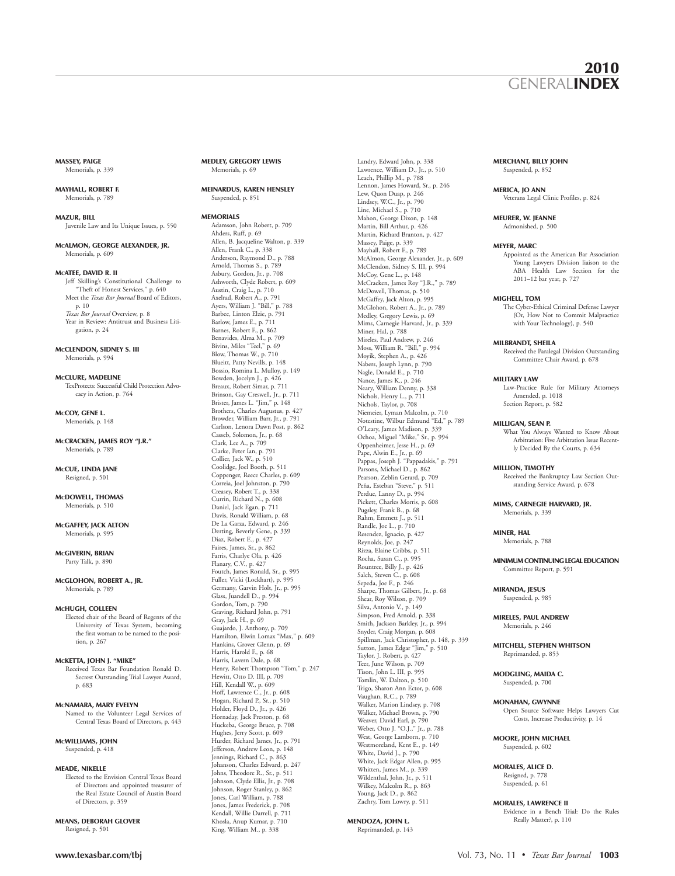#### **MASSEY, PAIGE**

Memorials, p. 339

**MAYHALL, ROBERT F.** Memorials, p. 78

**MAZUR, BILL**

Juvenile Law and Its Unique Issues, p. 550

**MCALMON, GEORGE ALEXANDER, JR.** Memorials, p. 609

#### **MCATEE, DAVID R. II**

Jeff Skilling's Constitutional Challenge to "Theft of Honest Services," p. 640 Meet the *Texas Bar Journal* Board of Editors, p. 10 *Texas Bar Journal* Overview, p. 8 Year in Review: Antitrust and Business Litigation, p. 24

**MCCLENDON, SIDNEY S. III** Memorials, p. 994

**MCCLURE, MADELINE** TexProtects: Successful Child Protection Advocacy in Action, p. 764

**MCCOY, GENE L.** Memorials, p. 148

**MCCRACKEN, JAMES ROY "J.R."** Memorials, p. 789

**MCCUE, LINDA JANE** Resigned, p. 501

**MCDOWELL, THOMAS** Memorials, p. 510

**MCGAFFEY, JACK ALTON** Memorials, p. 995

**MCGIVERIN, BRIAN** Party Talk, p. 890

**MCGLOHON, ROBERT A., JR.** Memorials, p. 789

#### **MCHUGH, COLLEEN**

Elected chair of the Board of Regents of the University of Texas System, becoming the first woman to be named to the position, p. 267

**MCKETTA, JOHN J. "MIKE"** Received Texas Bar Foundation Ronald D. Secrest Outstanding Trial Lawyer Award, p. 683

**MCNAMARA, MARY EVELYN** Named to the Volunteer Legal Services of Central Texas Board of Directors, p. 443

#### **MCWILLIAMS, JOHN**

Suspended, p. 418

#### **MEADE, NIKELLE**

Elected to the Envision Central Texas Board of Directors and appointed treasurer of the Real Estate Council of Austin Board of Directors, p. 359

**MEANS, DEBORAH GLOVER** Resigned, p. 501

**MEDLEY, GREGORY LEWIS** Memorials, p. 69

#### **MEINARDUS, KAREN HENSLEY** Suspended, p. 851

#### **MEMORIALS**

Adamson, John Robert, p. 709 Ahders, Ruff, p. 69 Allen, B. Jacqueline Walton, p. 339 Allen, Frank C., p. 338 Anderson, Raymond D., p. 788 Arnold, Thomas S., p. 789 Asbury, Gordon, Jr., p. 708 Ashworth, Clyde Robert, p. 609 Austin, Craig L., p. 710 Axelrad, Robert A., p. 791 Ayers, William J. "Bill," p. 788 Barbee, Linton Elzie, p. 791 Barlow, James E., p. 711 Barnes, Robert F., p. 862 Benavides, Alma M., p. 709 Bivins, Miles "Teel," p. 69 Blow, Thomas W., p. 710 Blueitt, Patty Nevills, p. 148 Bossio, Romina L. Mulloy, p. 149 Bowden, Jocelyn J., p. 426 Breaux, Robert Simar, p. 711 Brinson, Gay Creswell, Jr., p. 711 Brister, James L. "Jim," p. 148 Brothers, Charles Augustus, p. 427 Browder, William Barr, Jr., p. 791 Carlson, Lenora Dawn Post, p. 862 Casseb, Solomon, Jr., p. 68 Clark, Lee A., p. 709 Clarke, Peter Ian, p. 791 Collier, Jack W., p. 510 Coolidge, Joel Booth, p. 511 Coppenger, Reece Charles, p. 609 Correia, Joel Johnston, p. 790 Creasey, Robert T., p. 338 Currin, Richard N., p. 608 Daniel, Jack Egan, p. 711 Davis, Ronald William, p. 68 De La Garza, Edward, p. 246 Derting, Beverly Gene, p. 339 Diaz, Robert E., p. 427 Faires, James, Sr., p. 862 Farris, Charlye Ola, p. 426 Flanary, C.V., p. 427 Foutch, James Ronald, Sr., p. 995 Fuller, Vicki (Lockhart), p. 995 Germany, Garvin Holt, Jr., p. 995 Glass, Juandell D., p. 994 Gordon, Tom, p. 790 Graving, Richard John, p. 791 Gray, Jack H., p. 69 Guajardo, J. Anthony, p. 709 Hamilton, Elwin Lomax "Max," p. 609 Hankins, Grover Glenn, p. 69 Harris, Harold F., p. 68 Harris, Lavern Dale, p. 68 Henry, Robert Thompson "Tom," p. 247 Hewitt, Otto D. III, p. 709 Hill, Kendall W., p. 609 Hoff, Lawrence C., Jr., p. 608 Hogan, Richard P., Sr., p. 510 Holder, Floyd D., Jr., p. 426 Hornaday, Jack Preston, p. 68 Huckeba, George Bruce, p. 708 Hughes, Jerry Scott, p. 609 Hurder, Richard James, Jr., p. 791 Jefferson, Andrew Leon, p. 148 Jennings, Richard C., p. 863 Johanson, Charles Edward, p. 247 Johns, Theodore R., Sr., p. 511 Johnson, Clyde Ellis, Jr., p. 708 Johnson, Roger Stanley, p. 862 Jones, Carl William, p. 788 Jones, James Frederick, p. 708 Kendall, Willie Darrell, p. 711 Khosla, Anup Kumar, p. 710 King, William M., p. 338

Landry, Edward John, p. 338 Lawrence, William D., Jr., p. 510 Leach, Phillip M., p. 788 Lennon, James Howard, Sr., p. 246 Lew, Quon Duap, p. 246 Lindsey, W.C., Jr., p. 790 Line, Michael S., p. 710 Mahon, George Dixon, p. 148 Martin, Bill Arthur, p. 426 Martin, Richard Branton, p. 427 Massey, Paige, p. 339 Mayhall, Robert F., p. 789 McAlmon, George Alexander, Jr., p. 609 McClendon, Sidney S. III, p. 994 McCoy, Gene L., p. 148 McCracken, James Roy "J.R.," p. 789 McDowell, Thomas, p. 510 McGaffey, Jack Alton, p. 995 McGlohon, Robert A., Jr., p. 789 Medley, Gregory Lewis, p. 69 Mims, Carnegie Harvard, Jr., p. 339 Miner, Hal, p. 788 Mireles, Paul Andrew, p. 246 Moss, William R. "Bill," p. 994 Moyik, Stephen A., p. 426 Nabers, Joseph Lynn, p. 790 Nagle, Donald E., p. 710 Nance, James K., p. 246 Neary, William Denny, p. 338 Nichols, Henry L., p. 711 Nichols, Taylor, p. 708 Niemeier, Lyman Malcolm, p. 710 Notestine, Wilbur Edmund "Ed," p. 789 O'Leary, James Madison, p. 339 Ochoa, Miguel "Mike," Sr., p. 994 Oppenheimer, Jesse H., p. 69 Pape, Alwin E., Jr., p. 69 Pappas, Joseph J. "Pappadakis," p. 791 Parsons, Michael D., p. 862 Pearson, Zeblin Gerard, p. 709 Peña, Esteban "Steve," p. 511 Perdue, Lanny D., p. 994 Pickett, Charles Morris, p. 608 Pugsley, Frank B., p. 68 Rahm, Emmett J., p. 511 Randle, Joe L., p. 710 Resendez, Ignacio, p. 427 Reynolds, Joe, p. 247 Rizza, Elaine Cribbs, p. 511 Rocha, Susan C., p. 995 Rountree, Billy J., p. 426 Salch, Steven C., p. 608 Sepeda, Joe F., p. 246 Sharpe, Thomas Gilbert, Jr., p. 68 Shear, Roy Wilson, p. 709 Silva, Antonio V., p. 149 Simpson, Fred Arnold, p. 338 Smith, Jackson Barkley, Jr., p. 994 Snyder, Craig Morgan, p. 608 Spillman, Jack Christopher, p. 148, p. 339 Sutton, James Edgar "Jim," p. 510 Taylor, J. Robert, p. 427 Teer, June Wilson, p. 709 Tison, John L. III, p. 995 Tomlin, W. Dalton, p. 510 Trigo, Sharon Ann Ector, p. 608 Vaughan, R.C., p. 789 Walker, Marion Lindsey, p. 708 Walker, Michael Brown, p. 790 Weaver, David Earl, p. 790 Weber, Otto J. "O.J.," Jr., p. 788 West, George Lamborn, p. 710 Westmoreland, Kent E., p. 149 White, David J., p. 790 White, Jack Edgar Allen, p. 995 Whitten, James M., p. 339 Wildenthal, John, Jr., p. 511 Wilkey, Malcolm R., p. 863 Young, Jack D., p. 862 Zachry, Tom Lowry, p. 511 **MENDOZA, JOHN L.**

Reprimanded, p. 143

**MERCHANT, BILLY JOHN** Suspended, p. 852

#### **MERICA, JO ANN**

Veterans Legal Clinic Profiles, p. 824

**MEURER, W. JEANNE** Admonished, p. 500

#### **MEYER, MARC**

Appointed as the American Bar Association Young Lawyers Division liaison to the ABA Health Law Section for the 2011–12 bar year, p. 727

#### **MIGHELL, TOM**

The Cyber-Ethical Criminal Defense Lawyer (Or, How Not to Commit Malpractice with Your Technology), p. 540

**MILBRANDT, SHEILA**

Received the Paralegal Division Outstanding Committee Chair Award, p. 678

#### **MILITARY LAW**

Law-Practice Rule for Military Attorneys Amended, p. 1018 Section Report, p. 582

#### **MILLIGAN, SEAN P.**

What You Always Wanted to Know About Arbitration: Five Arbitration Issue Recently Decided By the Courts, p. 634

#### **MILLION, TIMOTHY**

Received the Bankruptcy Law Section Outstanding Service Award, p. 678

#### **MIMS, CARNEGIE HARVARD, JR.**

Memorials, p. 339

#### **MINER, HAL** Memorials, p. 788

**MINIMUMCONTINUINGLEGAL EDUCATION** Committee Report, p. 591

**MIRANDA, JESUS** Suspended, p. 985

#### **MIRELES, PAUL ANDREW** Memorials, p. 246

**MITCHELL, STEPHEN WHITSON** Reprimanded, p. 853

**MODGLING, MAIDA C.** Suspended, p. 700

**MONAHAN, GWYNNE**

Open Source Software Helps Lawyers Cut Costs, Increase Productivity, p. 14

**MOORE, JOHN MICHAEL** Suspended, p. 602

**MORALES, ALICE D.** Resigned, p. 778 Suspended, p. 61

#### **MORALES, LAWRENCE II**

Evidence in a Bench Trial: Do the Rules Really Matter?, p. 110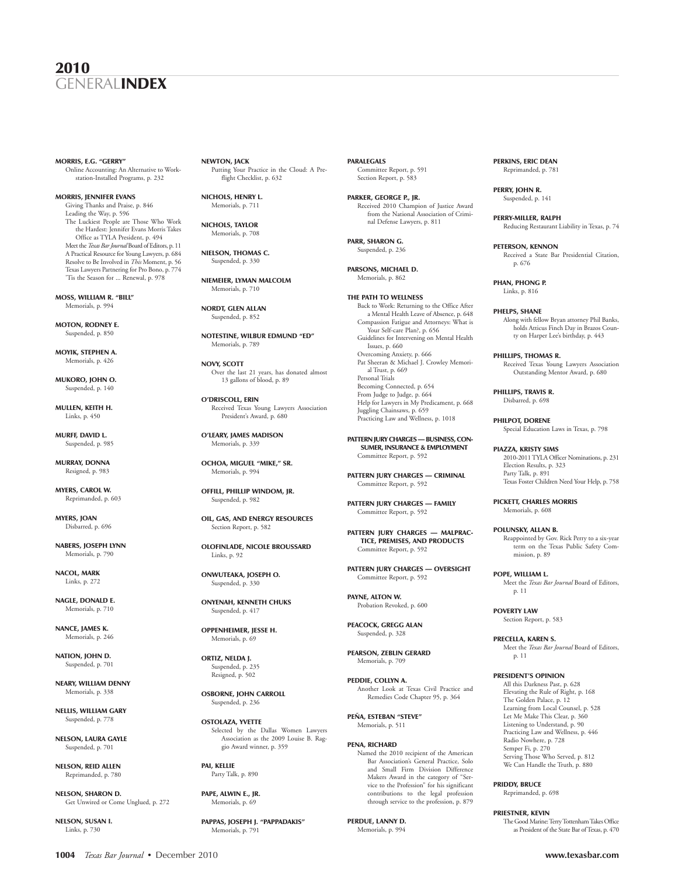#### **MORRIS, E.G. "GERRY"**

Online Accounting: An Alternative to Workstation-Installed Programs, p. 232

#### **MORRIS, JENNIFER EVANS**

Giving Thanks and Praise, p. 846 Leading the Way, p. 596 The Luckiest People are Those Who Work the Hardest: Jennifer Evans Morris Takes Office as TYLA President, p. 494 Meet the *Texas Bar Journal* Board of Editors, p. 11 A Practical Resource for Young Lawyers, p. 684 Resolve to Be Involved in *This* Moment, p. 56 Texas Lawyers Partnering for Pro Bono, p. 774 'Tis the Season for ... Renewal, p. 978

**MOSS, WILLIAM R. "BILL"** Memorials, p. 994

**MOTON, RODNEY E.** Suspended, p. 850

**MOYIK, STEPHEN A.** Memorials, p. 426

**MUKORO, JOHN O.** Suspended, p. 140

**MULLEN, KEITH H.** Links, p. 450

**MURFF, DAVID L.** Suspended, p. 985

**MURRAY, DONNA** Resigned, p. 983

**MYERS, CAROL W.** Reprimanded, p. 603

**MYERS, JOAN** Disbarred, p. 696

**NABERS, JOSEPH LYNN** Memorials, p. 790

**NACOL, MARK** Links, p. 272

**NAGLE, DONALD E.** Memorials, p. 710

**NANCE, JAMES K.** Memorials, p. 246

**NATION, JOHN D.** Suspended, p. 701

**NEARY, WILLIAM DENNY** Memorials, p. 338

**NELLIS, WILLIAM GARY** Suspended, p. 778

**NELSON, LAURA GAYLE** Suspended, p. 701

**NELSON, REID ALLEN** Reprimanded, p. 780

**NELSON, SHARON D.** Get Unwired or Come Unglued, p. 272

**NELSON, SUSAN I.** Links, p. 730

**NEWTON, JACK** Putting Your Practice in the Cloud: A Preflight Checklist, p. 632

**NICHOLS, HENRY L.** Memorials, p. 711

**NICHOLS, TAYLOR** Memorials, p. 708

**NIELSON, THOMAS C.** Suspended, p. 330

**NIEMEIER, LYMAN MALCOLM** Memorials, p. 710

**NORDT, GLEN ALLAN** Suspended, p. 852

**NOTESTINE, WILBUR EDMUND "ED"** Memorials, p. 789

**NOVY, SCOTT** Over the last 21 years, has donated almost 13 gallons of blood, p. 89

**O'DRISCOLL, ERIN** Received Texas Young Lawyers Association President's Award, p. 680

**O'LEARY, JAMES MADISON** Memorials, p. 339

**OCHOA, MIGUEL "MIKE," SR.** Memorials, p. 994

**OFFILL, PHILLIP WINDOM, JR.** Suspended, p. 982

**OIL, GAS, AND ENERGY RESOURCES** Section Report, p. 582

**OLOFINLADE, NICOLE BROUSSARD** Links, p. 92

**ONWUTEAKA, JOSEPH O.** Suspended, p. 330

**ONYENAH, KENNETH CHUKS** Suspended, p. 417

**OPPENHEIMER, JESSE H.** Memorials, p. 69

**ORTIZ, NELDA J.** Suspended, p. 235 Resigned, p. 502

**OSBORNE, JOHN CARROLL** Suspended, p. 236

**OSTOLAZA, YVETTE** Selected by the Dallas Women Lawyers Association as the 2009 Louise B. Raggio Award winner, p. 359

**PAI, KELLIE** Party Talk, p. 890

**PAPE, ALWIN E., JR.** Memorials, p. 69

**PAPPAS, JOSEPH J. "PAPPADAKIS"** Memorials, p. 791

**PARALEGALS** Committee Report, p. 591 Section Report, p. 583

**PARKER, GEORGE P., JR.** Received 2010 Champion of Justice Award from the National Association of Criminal Defense Lawyers, p. 811

**PARR, SHARON G.** Suspended, p. 236

**PARSONS, MICHAEL D.** Memorials, p. 862

**THE PATH TO WELLNESS** Back to Work: Returning to the Office After a Mental Health Leave of Absence, p. 648 Compassion Fatigue and Attorneys: What is Your Self-care Plan?, p. 656 Guidelines for Intervening on Mental Health Issues, p. 660 Overcoming Anxiety, p. 666 Pat Sheeran & Michael J. Crowley Memorial Trust, p. 669 Personal Trials Becoming Connected, p. 654 From Judge to Judge, p. 664 Help for Lawyers in My Predicament, p. 668 Juggling Chainsaws, p. 659 Practicing Law and Wellness, p. 1018

**PATTERN IURY CHARGES — BUSINESS, CON-SUMER, INSURANCE & EMPLOYMENT** Committee Report, p. 592

**PATTERN JURY CHARGES — CRIMINAL** Committee Report, p. 592

**PATTERN JURY CHARGES — FAMILY** Committee Report, p. 592

**PATTERN JURY CHARGES — MALPRAC-TICE, PREMISES, AND PRODUCTS** Committee Report, p. 592

**PATTERN JURY CHARGES — OVERSIGHT** Committee Report, p. 592

**PAYNE, ALTON W.** Probation Revoked, p. 600

**PEACOCK, GREGG ALAN** Suspended, p. 328

**PEARSON, ZEBLIN GERARD** Memorials, p. 709

**PEDDIE, COLLYN A.** Another Look at Texas Civil Practice and Remedies Code Chapter 95, p. 364

**PEÑA, ESTEBAN "STEVE"** Memorials, p. 511

**PENA, RICHARD** Named the 2010 recipient of the American Bar Association's General Practice, Solo and Small Firm Division Difference Makers Award in the category of "Service to the Profession" for his significant contributions to the legal profession through service to the profession, p. 879

**PERDUE, LANNY D.** Memorials, p. 994

**PERKINS, ERIC DEAN** Reprimanded, p. 781

**PERRY, JOHN R.** Suspended, p. 141

**PERRY-MILLER, RALPH** Reducing Restaurant Liability in Texas, p. 74

**PETERSON, KENNON** Received a State Bar Presidential Citation, p. 676

**PHAN, PHONG P.** Links, p. 816

**PHELPS, SHANE** Along with fellow Bryan attorney Phil Banks, holds Atticus Finch Day in Brazos Coun-

ty on Harper Lee's birthday, p. 443

#### **PHILLIPS, THOMAS R.**

Received Texas Young Lawyers Association Outstanding Mentor Award, p. 680

**PHILLIPS, TRAVIS R.**

Disbarred, p. 698

#### **PHILPOT, DORENE**

Special Education Laws in Texas, p. 798

**PIAZZA, KRISTY SIMS**

2010-2011TYLA Officer Nominations, p. 231 Election Results, p. 323 Party Talk, p. 891 Texas Foster Children Need Your Help, p. 758

**PICKETT, CHARLES MORRIS** Memorials, p. 608

#### **POLUNSKY, ALLAN B.**

Reappointed by Gov. Rick Perry to a six-year term on the Texas Public Safety Commission, p. 89

**POPE, WILLIAM L.**

Meet the *Texas Bar Journal* Board of Editors, p. 11

**POVERTY LAW** Section Report, p. 583

**PRECELLA, KAREN S.** Meet the *Texas Bar Journal* Board of Editors,

p. 11

#### **PRESIDENT'S OPINION**

All this Darkness Past, p. 628 Elevating the Rule of Right, p. 168 The Golden Palace, p. 12 Learning from Local Counsel, p. 528 Let Me Make This Clear, p. 360 Listening to Understand, p. 90 Practicing Law and Wellness, p. 446 Radio Nowhere, p. 728 Semper Fi, p. 270 Serving Those Who Served, p. 812 We Can Handle the Truth, p. 880

**PRIDDY, BRUCE**

Reprimanded, p. 698

**PRIESTNER, KEVIN**

The Good Marine: Terry Tottenham Takes Office as President of the State Bar ofTexas, p. 470

**1004** *Texas Bar Journal* • December 2010 **www.texasbar.com**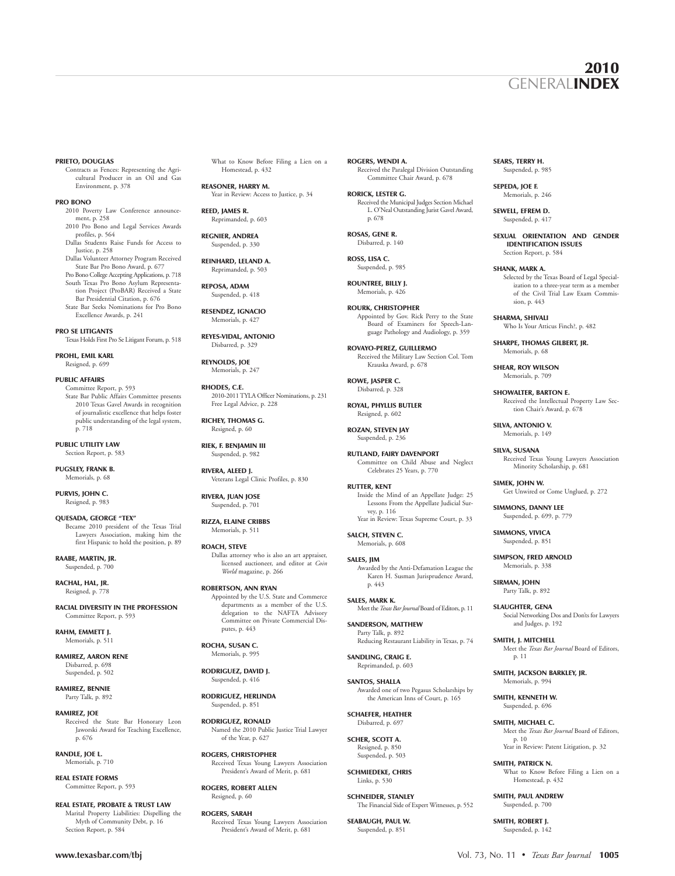#### **PRIETO, DOUGLAS**

Contracts as Fences: Representing the Agricultural Producer in an Oil and Gas Environment, p. 378

#### **PRO BONO**

2010 Poverty Law Conference announcement, p. 258 2010 Pro Bono and Legal Services Awards

profiles, p. 564 Dallas Students Raise Funds for Access to

Justice, p. 258 Dallas Volunteer Attorney Program Received State Bar Pro Bono Award, p. 677 Pro Bono College Accepting Applications, p. 718

South Texas Pro Bono Asylum Representation Project (ProBAR) Received a State Bar Presidential Citation, p. 676 State Bar Seeks Nominations for Pro Bono

Excellence Awards, p. 241 **PRO SE LITIGANTS**

Texas Holds First Pro Se Litigant Forum, p. 518

**PROHL, EMIL KARL** Resigned, p. 699

**PUBLIC AFFAIRS** Committee Report, p. 593 State Bar Public Affairs Committee presents 2010 Texas Gavel Awards in recognition of journalistic excellence that helps foster public understanding of the legal system, p. 718

**PUBLIC UTILITY LAW** Section Report, p. 583

**PUGSLEY, FRANK B.** Memorials, p. 68

**PURVIS, JOHN C.** Resigned, p. 983

**QUESADA, GEORGE "TEX"** Became 2010 president of the Texas Trial Lawyers Association, making him the first Hispanic to hold the position, p. 89

**RAABE, MARTIN, JR.** Suspended, p. 700

**RACHAL, HAL, JR.** Resigned, p. 778

**RACIAL DIVERSITY IN THE PROFESSION** Committee Report, p. 593

**RAHM, EMMETT J.** Memorials, p. 511

**RAMIREZ, AARON RENE** Disbarred, p. 698 Suspended, p. 502

**RAMIREZ, BENNIE** Party Talk, p. 892

**RAMIREZ, JOE** Received the State Bar Honorary Leon Jaworski Award for Teaching Excellence, p. 676

**RANDLE, JOE L.** Memorials, p. 710

**REAL ESTATE FORMS** Committee Report, p. 593

**REAL ESTATE, PROBATE & TRUST LAW** Marital Property Liabilities: Dispelling the Myth of Community Debt, p. 16 Section Report, p. 584

What to Know Before Filing a Lien on a Homestead, p. 432

**REASONER, HARRY M.** Year in Review: Access to Justice, p. 34

Reprimanded, p. 603 **REGNIER, ANDREA**

**REED, JAMES R.**

Suspended, p. 330 **REINHARD, LELAND A.**

Reprimanded, p. 503 **REPOSA, ADAM** Suspended, p. 418

**RESENDEZ, IGNACIO** Memorials, p. 427

**REYES-VIDAL, ANTONIO** Disbarred, p. 329

**REYNOLDS, JOE** Memorials, p. 247

**RHODES, C.E.** 2010-2011TYLA Officer Nominations, p. 231 Free Legal Advice, p. 228

**RICHEY, THOMAS G.** Resigned, p. 60

**RIEK, F. BENJAMIN III** Suspended, p. 982

**RIVERA, ALEED J.** Veterans Legal Clinic Profiles, p. 830

**RIVERA, JUAN JOSE** Suspended, p. 701

**RIZZA, ELAINE CRIBBS** Memorials, p. 511

**ROACH, STEVE** Dallas attorney who is also an art appraiser, licensed auctioneer, and editor at *Coin World* magazine, p. 266

**ROBERTSON, ANN RYAN** Appointed by the U.S. State and Commerce departments as a member of the U.S. delegation to the NAFTA Advisory Committee on Private Commercial Disputes, p. 443

**ROCHA, SUSAN C.** Memorials, p. 995

**RODRIGUEZ, DAVID J.** Suspended, p. 416

**RODRIGUEZ, HERLINDA** Suspended, p. 851

**RODRIGUEZ, RONALD** Named the 2010 Public Justice Trial Lawyer of the Year, p. 627

**ROGERS, CHRISTOPHER** Received Texas Young Lawyers Association President's Award of Merit, p. 681

**ROGERS, ROBERT ALLEN** Resigned, p. 60

**ROGERS, SARAH** Received Texas Young Lawyers Association President's Award of Merit, p. 681

**ROGERS, WENDI A.** Received the Paralegal Division Outstanding Committee Chair Award, p. 678

**RORICK, LESTER G.** Received the Municipal Judges Section Michael L. O'Neal Outstanding Jurist Gavel Award, p. 678

**ROSAS, GENE R.** Disbarred, p. 140

**ROSS, LISA C.** Suspended, p. 985 **ROUNTREE, BILLY J.**

Memorials, p. 426

**ROURK, CHRISTOPHER** Appointed by Gov. Rick Perry to the State Board of Examiners for Speech-Language Pathology and Audiology, p. 359

**ROVAYO-PEREZ, GUILLERMO** Received the Military Law Section Col. Tom Krauska Award, p. 678

**ROWE, JASPER C.** Disbarred, p. 328

**ROYAL, PHYLLIS BUTLER** Resigned, p. 602

**ROZAN, STEVEN JAY** Suspended, p. 236

**RUTLAND, FAIRY DAVENPORT** Committee on Child Abuse and Neglect Celebrates 25 Years, p. 770

**RUTTER, KENT** Inside the Mind of an Appellate Judge: 25 Lessons From the Appellate Judicial Survey, p. 116 Year in Review: Texas Supreme Court, p. 33

**SALCH, STEVEN C.** Memorials, p. 608

**SALES, JIM** Awarded by the Anti-Defamation League the Karen H. Susman Jurisprudence Award, p. 443

**SALES, MARK K.** Meetthe*Texas BarJournal*Board ofEditors, p. 11

**SANDERSON, MATTHEW** Party Talk, p. 892 Reducing Restaurant Liability in Texas, p. 74

**SANDLING, CRAIG E.** Reprimanded, p. 603 **SANTOS, SHALLA**

Awarded one of two Pegasus Scholarships by the American Inns of Court, p. 165

**SCHAEFER, HEATHER** Disbarred, p. 697

**SCHER, SCOTT A.** Resigned, p. 850 Suspended, p. 503 **SCHMIEDEKE, CHRIS**

Links, p. 530 **SCHNEIDER, STANLEY**

The Financial Side of Expert Witnesses, p. 552

**SEABAUGH, PAUL W.** Suspended, p. 851

**SEARS, TERRY H.** Suspended, p. 985

**SEPEDA, JOE F.** Memorials, p. 246

**SEWELL, EFREM D.** Suspended, p. 417

**SEXUAL ORIENTATION AND GENDER IDENTIFICATION ISSUES** Section Report, p. 584

**SHANK, MARK A.** Selected by the Texas Board of Legal Specialization to a three-year term as a member of the Civil Trial Law Exam Commission, p. 443

**SHARMA, SHIVALI** Who Is Your Atticus Finch?, p. 482

**SHARPE, THOMAS GILBERT, JR.** Memorials, p. 68

**SHEAR, ROY WILSON** Memorials, p. 709

**SHOWALTER, BARTON E.** Received the Intellectual Property Law Section Chair's Award, p. 678

**SILVA, ANTONIO V.** Memorials, p. 149

**SILVA, SUSANA** Received Texas Young Lawyers Association Minority Scholarship, p. 681

**SIMEK, JOHN W.** Get Unwired or Come Unglued, p. 272

**SIMMONS, DANNY LEE** Suspended, p. 699, p. 779

**SIMMONS, VIVICA** Suspended, p. 851

**SIMPSON, FRED ARNOLD** Memorials, p. 338

**SIRMAN, JOHN** Party Talk, p. 892

**SLAUGHTER, GENA** Social Networking Dos and Don'ts for Lawyers and Judges, p. 192

**SMITH, J. MITCHELL** Meet the *Texas Bar Journal* Board of Editors, p. 11

**SMITH, JACKSON BARKLEY, JR.** Memorials, p. 994

**SMITH, KENNETH W.** Suspended, p. 696

**SMITH, MICHAEL C.** Meet the *Texas Bar Journal* Board of Editors, p. 10 Year in Review: Patent Litigation, p. 32

**SMITH, PATRICK N.** What to Know Before Filing a Lien on a Homestead, p. 432

**SMITH, PAUL ANDREW** Suspended, p. 700

**SMITH, ROBERT J.** Suspended, p. 142

**www.texasbar.com/tbj** Vol. 73, No. 11 • *Texas Bar Journal* **1005**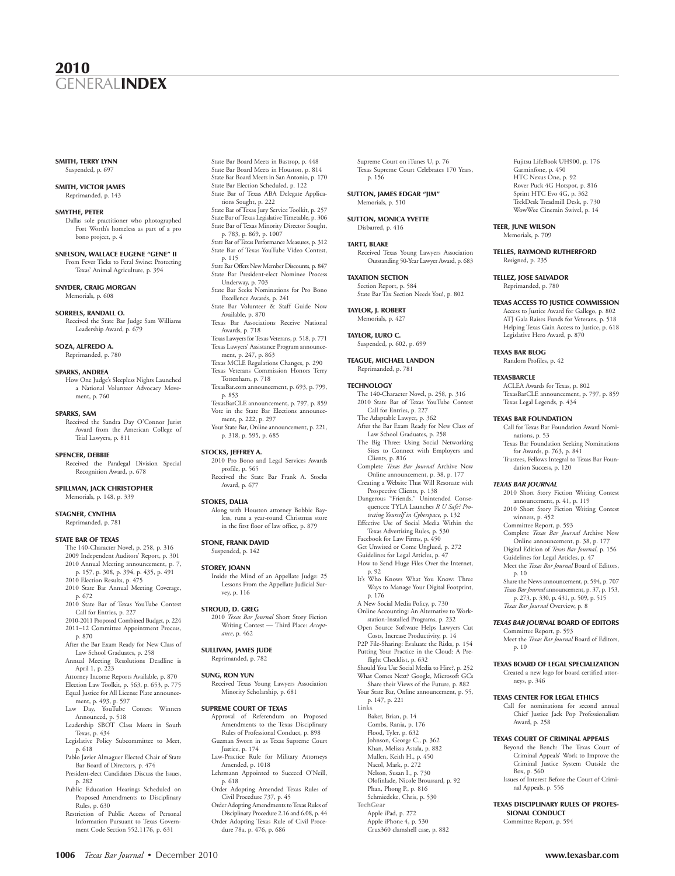**SMITH, TERRY LYNN** Suspended, p. 697

#### **SMITH, VICTOR JAMES** Reprimanded, p. 143

#### **SMYTHE, PETER**

Dallas sole practitioner who photographed Fort Worth's homeless as part of a pro bono project, p. 4

**SNELSON, WALLACE EUGENE "GENE" II** From Fever Ticks to Feral Swine: Protecting Texas' Animal Agriculture, p. 394

**SNYDER, CRAIG MORGAN** Memorials, p. 608

**SORRELS, RANDALL O.**

Received the State Bar Judge Sam Williams Leadership Award, p. 679

**SOZA, ALFREDO A.** Reprimanded, p. 780

#### **SPARKS, ANDREA**

How One Judge's Sleepless Nights Launched a National Volunteer Advocacy Movement, p. 760

**SPARKS, SAM**

Received the Sandra Day O'Connor Jurist Award from the American College of Trial Lawyers, p. 811

#### **SPENCER, DEBBIE**

Received the Paralegal Division Special Recognition Award, p. 678

#### **SPILLMAN, JACK CHRISTOPHER**

Memorials, p. 148, p. 339

**STAGNER, CYNTHIA** Reprimanded, p. 781

#### **STATE BAR OF TEXAS**

The 140-Character Novel, p. 258, p. 316 2009 Independent Auditors' Report, p. 301 2010 Annual Meeting announcement, p. 7, p. 157, p. 308, p. 394, p. 435, p. 491

2010 Election Results, p. 475 2010 State Bar Annual Meeting Coverage, p. 672

- 2010 State Bar of Texas YouTube Contest Call for Entries, p. 227
- 2010-2011 ProposedCombined Budget, p. 224 2011–12 Committee Appointment Process, p. 870

After the Bar Exam Ready for New Class of Law School Graduates, p. 258

Annual Meeting Resolutions Deadline is April 1, p. 223

Attorney Income Reports Available, p. 870 Election Law Toolkit, p. 563, p. 653, p. 775 Equal Justice for All License Plate announce-

ment, p. 493, p. 597 Law Day, YouTube Contest Winners

- Announced, p. 518 Leadership SBOT Class Meets in South
- Texas, p. 434 Legislative Policy Subcommittee to Meet,
- p. 618 Pablo Javier Almaguer Elected Chair of State Bar Board of Directors, p. 474
- President-elect Candidates Discuss the Issues, p. 282

Public Education Hearings Scheduled on Proposed Amendments to Disciplinary Rules, p. 630

Restriction of Public Access of Personal Information Pursuant to Texas Government Code Section 552.1176, p. 631

State Bar Board Meets in Bastrop, p. 448 State Bar Board Meets in Houston, p. 814 State Bar Board Meets in San Antonio, p. 170 State Bar Election Scheduled, p. 122 State Bar of Texas ABA Delegate Applica-

tions Sought, p. 222 State Bar of Texas Jury Service Toolkit, p. 257 State Bar of Texas Legislative Timetable, p. 306 State Bar of Texas Minority Director Sought, p. 783, p. 869, p. 1007

State Bar of Texas Performance Measures, p. 312 State Bar of Texas YouTube Video Contest, p. 115

State Bar Offers New Member Discounts, p. 847 State Bar President-elect Nominee Process Underway, p. 703

State Bar Seeks Nominations for Pro Bono Excellence Awards, p. 241

State Bar Volunteer & Staff Guide Now Available, p. 870 Texas Bar Associations Receive National

Awards, p. 718 Texas Lawyers for Texas Veterans, p. 518, p. 771

Texas Lawyers' Assistance Program annou ment, p. 247, p. 863

- Texas MCLE Regulations Changes, p. 290 Texas Veterans Commission Honors Terry
- Tottenham, p. 718 TexasBar.com announcement, p. 693, p. 799, p. 853
- TexasBarCLE announcement, p. 797, p. 859 Vote in the State Bar Elections announce-
- ment, p. 222, p. 297 Your State Bar, Online announcement, p. 221, p. 318, p. 595, p. 685

#### **STOCKS, JEFFREY A.**

2010 Pro Bono and Legal Services Awards profile, p. 565 Received the State Bar Frank A. Stocks Award, p. 677

#### **STOKES, DALIA**

Along with Houston attorney Bobbie Bayless, runs a year-round Christmas store in the first floor of law office, p. 879

#### **STONE, FRANK DAVID**

Suspended, p. 142

#### **STOREY, JOANN**

Inside the Mind of an Appellate Judge: 25 Lessons From the Appellate Judicial Survey, p. 116

#### **STROUD, D. GREG**

2010 *Texas Bar Journal* Short Story Fiction Writing Contest — Third Place: *Acceptance*, p. 462

#### **SULLIVAN, JAMES JUDE**

Reprimanded, p. 782

#### **SUNG, RON YUN** Received Texas Young Lawyers Association

Minority Scholarship, p. 681

#### **SUPREME COURT OF TEXAS**

Approval of Referendum on Proposed Amendments to the Texas Disciplinary Rules of Professional Conduct, p. 898

- Guzman Sworn in as Texas Supreme Court Justice, p. 174
- Law-Practice Rule for Military Attorneys Amended, p. 1018
- Lehrmann Appointed to Succeed O'Neill,
- p. 618 Order Adopting Amended Texas Rules of Civil Procedure 737, p. 45

Order Adopting Amendments toTexas Rules of Disciplinary Procedure 2.16 and 6.08, p. 44 Order Adopting Texas Rule of Civil Proce-dure 78a, p. 476, p. 686

Supreme Court on iTunes U, p. 76 Texas Supreme Court Celebrates 170 Years, p. 156

**SUTTON, JAMES EDGAR "JIM"** Memorials, p. 510

**SUTTON, MONICA YVETTE** Disbarred, p. 416

## **TARTT, BLAKE**

Received Texas Young Lawyers Association Outstanding 50-Year Lawyer Award, p. 683

**TAXATION SECTION** Section Report, p. 584 State Bar Tax Section Needs You!, p. 802

#### **TAYLOR, J. ROBERT** Memorials, p. 427

**TAYLOR, LURO C.**

Suspended, p. 602, p. 699

#### **TEAGUE, MICHAEL LANDON** Reprimanded, p. 781

#### **TECHNOLOGY**

The 140-Character Novel, p. 258, p. 316 2010 State Bar of Texas YouTube Contest Call for Entries, p. 227

- The Adaptable Lawyer, p. 362 After the Bar Exam Ready for New Class of Law School Graduates, p. 258
- The Big Three: Using Social Networking Sites to Connect with Employers and Clients, p. 816
- Complete *Texas Bar Journal* Archive Now Online announcement, p. 38, p. 177 Creating a Website That Will Resonate with
- Prospective Clients, p. 138
- Dangerous "Friends," Unintended Consequences: TYLA Launches *R U Safe? Protecting Yourself in Cyberspace*, p. 132 Effective Use of Social Media Within the
- Texas Advertising Rules, p. 530
- Facebook for Law Firms, p. 450 Get Unwired or Come Unglued, p. 272
- Guidelines for Legal Articles, p. 47
- How to Send Huge Files Over the Internet, p. 92
- It's Who Knows What You Know: Three Ways to Manage Your Digital Footprint,
- p. 176 A New Social Media Policy, p. 730
- Online Accounting: An Alternative to Workstation-Installed Programs, p. 232
- Open Source Software Helps Lawyers Cut
- Costs, Increase Productivity, p. 14 P2P File-Sharing: Evaluate the Risks, p. 154 Putting Your Practice in the Cloud: A Pre-
- flight Checklist, p. 632 Should You Use Social Media to Hire?, p. 252 What Comes Next? Google, Microsoft GCs
- Share their Views of the Future, p. 882 Your State Bar, Online announcement, p. 55, p. 147, p. 221
- **Links**

**1006** *Texas Bar Journal* • December 2010 **www.texasbar.com**

Baker, Brian, p. 14 Combs, Rania, p. 176 Flood, Tyler, p. 632 Johnson, George C., p. 362 Khan, Melissa Astala, p. 882 Mullen, Keith H., p. 450 Nacol, Mark, p. 272 Nelson, Susan I., p. 730 Olofinlade, Nicole Broussard, p. 92 Phan, Phong P., p. 816 Schmiedeke, Chris, p. 530

**TechGear** Apple iPad, p. 272 Apple iPhone 4, p. 530 Crux360 clamshell case, p. 882 Fujitsu LifeBook UH900, p. 176 Garminfone, p. 450 HTC Nexus One, p. 92 Rover Puck 4G Hotspot, p. 816 Sprint HTC Evo 4G, p. 362 TrekDesk Treadmill Desk, p. 730 WowWee Cinemin Swivel, p. 14

**TEER, JUNE WILSON** Memorials, p. 709

**TEXAS BAR BLOG** Random Profiles, p. 42

**TEXASBARCLE**

**TELLES, RAYMOND RUTHERFORD** Resigned, p. 235 **TELLEZ, JOSE SALVADOR** Reprimanded, p. 780

**TEXAS ACCESS TO JUSTICE COMMISSION** Access to Justice Award for Gallego, p. 802 ATJ Gala Raises Funds for Veterans, p. 518 Helping Texas Gain Access to Justice, p. 618 Legislative Hero Award, p. 870

ACLEA Awards for Texas, p. 802 TexasBarCLE announcement, p. 797, p. 859

Call for Texas Bar Foundation Award Nominations, p. 53 Texas Bar Foundation Seeking Nominations for Awards, p. 763, p. 841 Trustees, Fellows Integral to Texas Bar Foundation Success, p. 120

2010 Short Story Fiction Writing Contest announcement, p. 41, p. 119 2010 Short Story Fiction Writing Contest

Complete *Texas Bar Journal* Archive Now Online announcement, p. 38, p. 177 Digital Edition of *Texas Bar Journal*, p. 156 Guidelines for Legal Articles, p. 47 Meet the *Texas Bar Journal* Board of Editors,

Share the News announcement, p. 594, p. 707 *Texas Bar Journal* announcement, p. 37, p. 153, p. 273, p. 330, p. 431, p. 509, p. 515 *Texas Bar Journal* Overview, p. 8 *TEXAS BAR JOURNAL* **BOARD OF EDITORS** Committee Report, p. 593

Meet the *Texas Bar Journal* Board of Editors,

**TEXAS BOARD OF LEGAL SPECIALIZATION** Created a new logo for board certified attor-

**TEXAS CENTER FOR LEGAL ETHICS** Call for nominations for second annual Chief Justice Jack Pop Professionalism

**TEXAS COURT OF CRIMINAL APPEALS** Beyond the Bench: The Texas Court of Criminal Appeals' Work to Improve the Criminal Justice System Outside the

Issues of Interest Before the Court of Crimi-

**TEXAS DISCIPLINARY RULES OF PROFES-SIONAL CONDUCT** Committee Report, p. 594

Texas Legal Legends, p. 434 **TEXAS BAR FOUNDATION**

*TEXAS BAR JOURNAL*

p. 10

p. 10

neys, p. 346

Award, p. 258

Box, p. 560

nal Appeals, p. 556

winners, p. 452 Committee Report, p. 593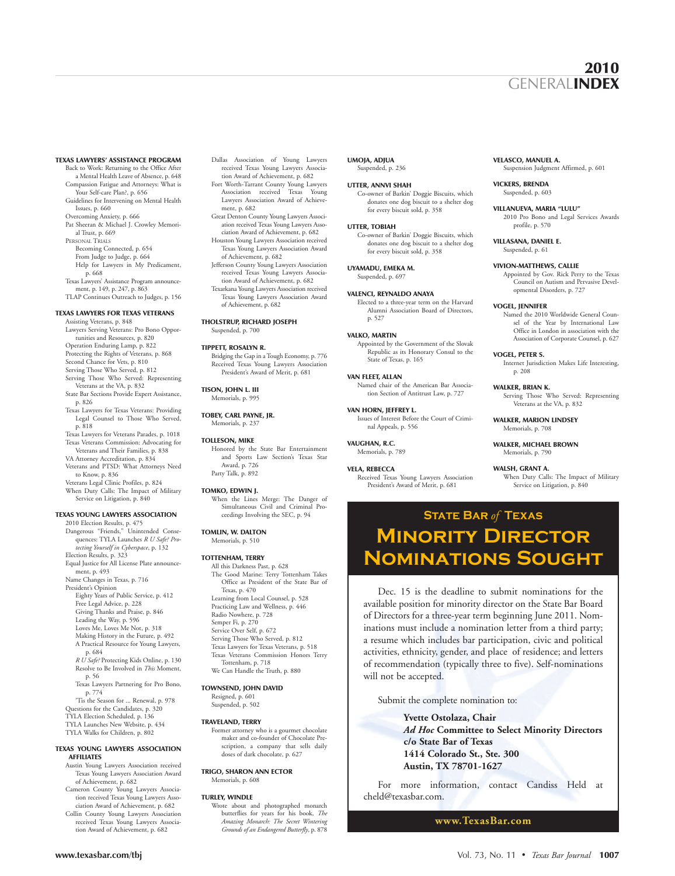#### **TEXAS LAWYERS' ASSISTANCE PROGRAM**

- Back to Work: Returning to the Office After a Mental Health Leave of Absence, p. 648 Compassion Fatigue and Attorneys: What is
- Your Self-care Plan?, p. 656 Guidelines for Intervening on Mental Health
- Issues, p. 660 Overcoming Anxiety, p. 666

Pat Sheeran & Michael J. Crowley Memorial Trust, p. 669 PERSONAL TRIALS

- Becoming Connected, p. 654 From Judge to Judge, p. 664 Help for Lawyers in My Predicament,
- p. 668 Texas Lawyers' Assistance Program announcement, p. 149, p. 247, p. 863
- TLAP Continues Outreach to Judges, p. 156

#### **TEXAS LAWYERS FOR TEXAS VETERANS**

- Assisting Veterans, p. 848 Lawyers Serving Veterans: Pro Bono Opportunities and Resources, p. 820 Operation Enduring Lamp, p. 822 Protecting the Rights of Veterans, p. 868 Second Chance for Vets, p. 810
- Serving Those Who Served, p. 812
- Serving Those Who Served: Representing Veterans at the VA, p. 832 State Bar Sections Provide Expert Assistance,
- p. 826
- Texas Lawyers for Texas Veterans: Providing Legal Counsel to Those Who Served, p. 818
- Texas Lawyers for Veterans Parades, p. 1018 Texas Veterans Commission: Advocating for Veterans and Their Families, p. 838 VA Attorney Accreditation, p. 834
- Veterans and PTSD: What Attorneys Need to Know, p. 836 Veterans Legal Clinic Profiles, p. 824
- When Duty Calls: The Impact of Military Service on Litigation, p. 840

#### **TEXAS YOUNG LAWYERS ASSOCIATION**

2010 Election Results, p. 475 Dangerous "Friends," Unintended Consequences: TYLA Launches *R U Safe? Protecting Yourself in Cyberspace*, p. 132

Election Results, p. 323 Equal Justice for All License Plate announcement, p. 493

Name Changes in Texas, p. 716 President's Opinion

Eighty Years of Public Service, p. 412 Free Legal Advice, p. 228 Giving Thanks and Praise, p. 846 Leading the Way, p. 596

Loves Me, Loves Me Not, p. 318 Making History in the Future, p. 492 A Practical Resource for Young Lawyers,

p. 684 *R U Safe?* Protecting Kids Online, p. 130

Resolve to Be Involved in *This* Moment, p. 56

Texas Lawyers Partnering for Pro Bono, p. 774

- 'Tis the Season for ... Renewal, p. 978 Questions for the Candidates, p. 320 TYLA Election Scheduled, p. 136
- TYLA Launches New Website, p. 434 TYLA Walks for Children, p. 802

#### **TEXAS YOUNG LAWYERS ASSOCIATION AFFILIATES**

- Austin Young Lawyers Association received Texas Young Lawyers Association Award of Achievement, p. 682
- Cameron County Young Lawyers Associa-tion received Texas Young Lawyers Association Award of Achievement, p. 682 Collin County Young Lawyers Association received Texas Young Lawyers Association Award of Achievement, p. 682
- Dallas Association of Young Lawyers received Texas Young Lawyers Association Award of Achievement, p. 682
- Fort Worth-Tarrant County Young Lawyers<br>Association received Texas Young Association received Texas Lawyers Association Award of Achievement, p. 682 Great Denton County Young Lawyers Associ-
- ation received Texas Young Lawyers Association Award of Achievement, p. 682 Houston Young Lawyers Association received
- Texas Young Lawyers Association Award of Achievement, p. 682 Jefferson County Young Lawyers Association
- received Texas Young Lawyers Association Award of Achievement, p. 682 Texarkana Young Lawyers Association received Texas Young Lawyers Association Award
- of Achievement, p. 682 **THOLSTRUP, RICHARD JOSEPH**

Suspended, p. 700

#### **TIPPETT, ROSALYN R.**

Bridging the Gap in aTough Economy, p. 776 Received Texas Young Lawyers Association President's Award of Merit, p. 681

**TISON, JOHN L. III** Memorials, p. 995

**TOBEY, CARL PAYNE, JR.** Memorials, p. 237

#### **TOLLESON, MIKE**

Honored by the State Bar Entertainment and Sports Law Section's Texas Star Award, p. 726 Party Talk, p. 892

#### **TOMKO, EDWIN J.**

When the Lines Merge: The Danger of Simultaneous Civil and Criminal Proceedings Involving the SEC, p. 94

#### **TOMLIN, W. DALTON** Memorials, p. 510

- **TOTTENHAM, TERRY** All this Darkness Past, p. 628 The Good Marine: Terry Tottenham Takes Office as President of the State Bar of Texas, p. 470 Learning from Local Counsel, p. 528 Practicing Law and Wellness, p. 446 Radio Nowhere, p. 728 Semper Fi, p. 270 Service Over Self, p. 672 Serving Those Who Served, p. 812 Texas Lawyers for Texas Veterans, p. 518 Texas Veterans Commission Honors Terry Tottenham, p. 718 We Can Handle the Truth, p. 880
- 

#### **TOWNSEND, JOHN DAVID**

Resigned, p. 601 Suspended, p. 502

#### **TRAVELAND, TERRY**

Former attorney who is a gourmet chocolate maker and co-founder of Chocolate Prescription, a company that sells daily doses of dark chocolate, p. 627

**TRIGO, SHARON ANN ECTOR** Memorials, p. 608

#### **TURLEY, WINDLE**

Wrote about and photographed monarch butterflies for years for his book, *The Amazing Monarch: The Secret Wintering Grounds of an Endangered Butterfly*, p. 878

#### **UMOJA, ADJUA** Suspended, p. 236

**UTTER, ANNVI SHAH** Co-owner of Barkin' Doggie Biscuits, which donates one dog biscuit to a shelter dog for every biscuit sold, p. 358

**UTTER, TOBIAH** Co-owner of Barkin' Doggie Biscuits, which donates one dog biscuit to a shelter dog for every biscuit sold, p. 358

**UYAMADU, EMEKA M.** Suspended, p. 697

**VALENCI, REYNALDO ANAYA** Elected to a three-year term on the Harvard Alumni Association Board of Directors, p. 527

**VALKO, MARTIN**

Appointed by the Government of the Slovak Republic as its Honorary Consul to the State of Texas, p. 165

**VAN FLEET, ALLAN** Named chair of the American Bar Association Section of Antitrust Law, p. 727

**VAN HORN, JEFFREY L.** Issues of Interest Before the Court of Criminal Appeals, p. 556

**VAUGHAN, R.C.** Memorials, p. 789

### **VELA, REBECCA**

Received Texas Young Lawyers Association President's Award of Merit, p. 681

**VELASCO, MANUEL A.** Suspension Judgment Affirmed, p. 601

#### **VICKERS, BRENDA** Suspended, p. 603

**VILLANUEVA, MARIA "LULU"** 2010 Pro Bono and Legal Services Awards profile, p. 570

**VILLASANA, DANIEL E.** Suspended, p. 61

**VIVION-MATTHEWS, CALLIE**

Appointed by Gov. Rick Perry to the Texas Council on Autism and Pervasive Developmental Disorders, p. 727

#### **VOGEL, JENNIFER**

Named the 2010 Worldwide General Counsel of the Year by International Law Office in London in association with the Association of Corporate Counsel, p. 627

**VOGEL, PETER S.**

Internet Jurisdiction Makes Life Interesting, p. 208

**WALKER, BRIAN K.** Serving Those Who Served: Representing Veterans at the VA, p. 832

#### **WALKER, MARION LINDSEY** Memorials, p. 708

**WALKER, MICHAEL BROWN** Memorials, p. 790

## **WALSH, GRANT A.**

When Duty Calls: The Impact of Military Service on Litigation, p. 840

## **State Bar** *of* **Texas Minority Director Nominations Sought**

Dec. 15 is the deadline to submit nominations for the available position for minority director on the State Bar Board of Directors for a three-year term beginning June 2011. Nominations must include a nomination letter from a third party; a resume which includes bar participation, civic and political activities, ethnicity, gender, and place of residence; and letters of recommendation (typically three to five). Self-nominations will not be accepted.

Submit the complete nomination to:

**Yvette Ostolaza, Chair** *Ad Hoc* **Committee to Select Minority Directors c/o State Bar of Texas 1414 Colorado St., Ste. 300 Austin, TX 78701-1627**

For more information, contact Candiss Held at cheld@texasbar.com.

**www.TexasBar.com**